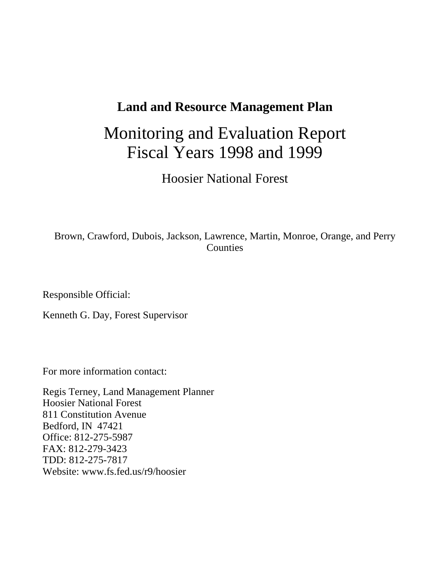### **Land and Resource Management Plan**

# Monitoring and Evaluation Report Fiscal Years 1998 and 1999

Hoosier National Forest

### Brown, Crawford, Dubois, Jackson, Lawrence, Martin, Monroe, Orange, and Perry Counties

Responsible Official:

Kenneth G. Day, Forest Supervisor

For more information contact:

Regis Terney, Land Management Planner Hoosier National Forest 811 Constitution Avenue Bedford, IN 47421 Office: 812-275-5987 FAX: 812-279-3423 TDD: 812-275-7817 Website: www.fs.fed.us/r9/hoosier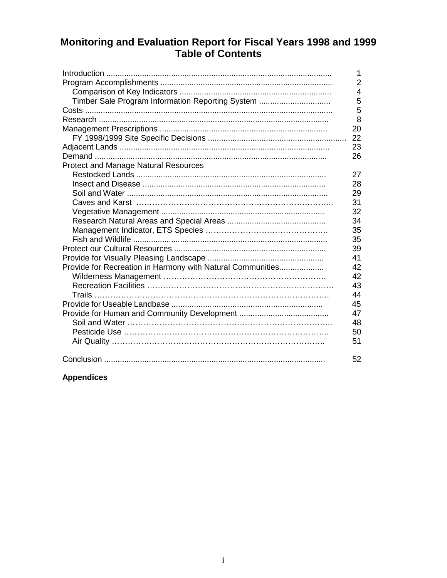# Monitoring and Evaluation Report for Fiscal Years 1998 and 1999<br>Table of Contents

|                                                            | 1              |
|------------------------------------------------------------|----------------|
|                                                            | $\overline{2}$ |
|                                                            | 4              |
| Timber Sale Program Information Reporting System           | 5              |
|                                                            | 5              |
|                                                            | 8              |
|                                                            | 20             |
|                                                            | 22             |
|                                                            | 23             |
|                                                            | 26             |
| <b>Protect and Manage Natural Resources</b>                |                |
|                                                            | 27             |
|                                                            | 28             |
|                                                            | 29             |
|                                                            | 31             |
|                                                            | 32             |
|                                                            | 34             |
|                                                            | 35             |
|                                                            | 35             |
|                                                            | 39             |
|                                                            | 41             |
| Provide for Recreation in Harmony with Natural Communities | 42             |
|                                                            | 42             |
|                                                            | 43             |
|                                                            | 44             |
|                                                            | 45             |
|                                                            | 47             |
|                                                            | 48             |
|                                                            | 50             |
|                                                            | 51             |
|                                                            | 52             |
|                                                            |                |

#### **Appendices**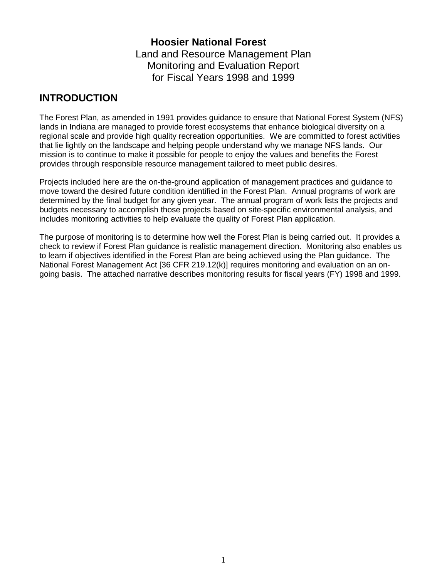### **Hoosier National Forest** Land and Resource Management Plan Monitoring and Evaluation Report for Fiscal Years 1998 and 1999

### **INTRODUCTION**

The Forest Plan, as amended in 1991 provides guidance to ensure that National Forest System (NFS) lands in Indiana are managed to provide forest ecosystems that enhance biological diversity on a regional scale and provide high quality recreation opportunities. We are committed to forest activities that lie lightly on the landscape and helping people understand why we manage NFS lands. Our mission is to continue to make it possible for people to enjoy the values and benefits the Forest provides through responsible resource management tailored to meet public desires.

Projects included here are the on-the-ground application of management practices and guidance to move toward the desired future condition identified in the Forest Plan. Annual programs of work are determined by the final budget for any given year. The annual program of work lists the projects and budgets necessary to accomplish those projects based on site-specific environmental analysis, and includes monitoring activities to help evaluate the quality of Forest Plan application.

The purpose of monitoring is to determine how well the Forest Plan is being carried out. It provides a check to review if Forest Plan guidance is realistic management direction. Monitoring also enables us to learn if objectives identified in the Forest Plan are being achieved using the Plan guidance. The National Forest Management Act [36 CFR 219.12(k)] requires monitoring and evaluation on an ongoing basis. The attached narrative describes monitoring results for fiscal years (FY) 1998 and 1999.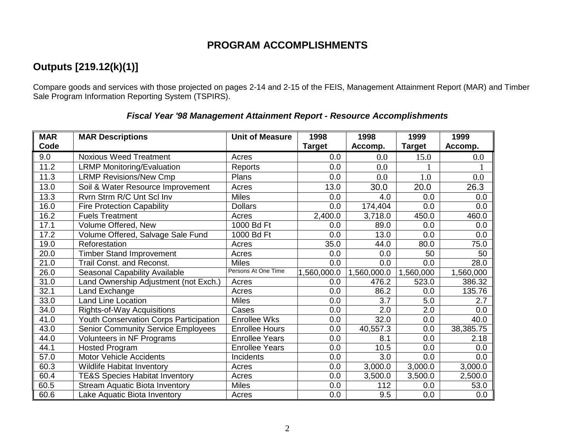### **PROGRAM ACCOMPLISHMENTS**

### **Outputs [219.12(k)(1)]**

Compare goods and services with those projected on pages 2-14 and 2-15 of the FEIS, Management Attainment Report (MAR) and Timber Sale Program Information Reporting System (TSPIRS).

| <b>MAR</b> | <b>MAR Descriptions</b>                   | <b>Unit of Measure</b> | 1998          | 1998        | 1999          | 1999      |
|------------|-------------------------------------------|------------------------|---------------|-------------|---------------|-----------|
| Code       |                                           |                        | <b>Target</b> | Accomp.     | <b>Target</b> | Accomp.   |
| 9.0        | <b>Noxious Weed Treatment</b>             | Acres                  | 0.0           | 0.0         | 15.0          | 0.0       |
| 11.2       | <b>LRMP Monitoring/Evaluation</b>         | Reports                | 0.0           | 0.0         |               |           |
| 11.3       | <b>LRMP Revisions/New Cmp</b>             | Plans                  | 0.0           | 0.0         | 1.0           | 0.0       |
| 13.0       | Soil & Water Resource Improvement         | Acres                  | 13.0          | 30.0        | 20.0          | 26.3      |
| 13.3       | Rvrn Strm R/C Unt Scl Inv                 | <b>Miles</b>           | 0.0           | 4.0         | 0.0           | 0.0       |
| 16.0       | <b>Fire Protection Capability</b>         | <b>Dollars</b>         | 0.0           | 174,404     | 0.0           | 0.0       |
| 16.2       | <b>Fuels Treatment</b>                    | Acres                  | 2,400.0       | 3,718.0     | 450.0         | 460.0     |
| 17.1       | Volume Offered, New                       | 1000 Bd Ft             | 0.0           | 89.0        | 0.0           | 0.0       |
| 17.2       | Volume Offered, Salvage Sale Fund         | 1000 Bd Ft             | 0.0           | 13.0        | 0.0           | 0.0       |
| 19.0       | Reforestation                             | Acres                  | 35.0          | 44.0        | 80.0          | 75.0      |
| 20.0       | <b>Timber Stand Improvement</b>           | Acres                  | 0.0           | 0.0         | 50            | 50        |
| 21.0       | Trail Const. and Reconst.                 | <b>Miles</b>           | 0.0           | 0.0         | 0.0           | 28.0      |
| 26.0       | Seasonal Capability Available             | Persons At One Time    | 1,560,000.0   | 1,560,000.0 | 1,560,000     | 1,560,000 |
| 31.0       | Land Ownership Adjustment (not Exch.)     | Acres                  | 0.0           | 476.2       | 523.0         | 386.32    |
| 32.1       | Land Exchange                             | Acres                  | 0.0           | 86.2        | 0.0           | 135.76    |
| 33.0       | <b>Land Line Location</b>                 | <b>Miles</b>           | 0.0           | 3.7         | 5.0           | 2.7       |
| 34.0       | Rights-of-Way Acquisitions                | Cases                  | 0.0           | 2.0         | 2.0           | 0.0       |
| 41.0       | Youth Conservation Corps Participation    | <b>Enrollee Wks</b>    | 0.0           | 32.0        | 0.0           | 40.0      |
| 43.0       | <b>Senior Community Service Employees</b> | <b>Enrollee Hours</b>  | 0.0           | 40,557.3    | 0.0           | 38,385.75 |
| 44.0       | Volunteers in NF Programs                 | <b>Enrollee Years</b>  | 0.0           | 8.1         | 0.0           | 2.18      |
| 44.1       | <b>Hosted Program</b>                     | <b>Enrollee Years</b>  | 0.0           | 10.5        | 0.0           | 0.0       |
| 57.0       | <b>Motor Vehicle Accidents</b>            | Incidents              | 0.0           | 3.0         | 0.0           | 0.0       |
| 60.3       | Wildlife Habitat Inventory                | Acres                  | 0.0           | 3,000.0     | 3,000.0       | 3,000.0   |
| 60.4       | <b>TE&amp;S Species Habitat Inventory</b> | Acres                  | 0.0           | 3,500.0     | 3,500.0       | 2,500.0   |
| 60.5       | <b>Stream Aquatic Biota Inventory</b>     | <b>Miles</b>           | 0.0           | 112         | 0.0           | 53.0      |
| 60.6       | Lake Aquatic Biota Inventory              | Acres                  | 0.0           | 9.5         | 0.0           | 0.0       |

#### **Fiscal Year '98 Management Attainment Report - Resource Accomplishments**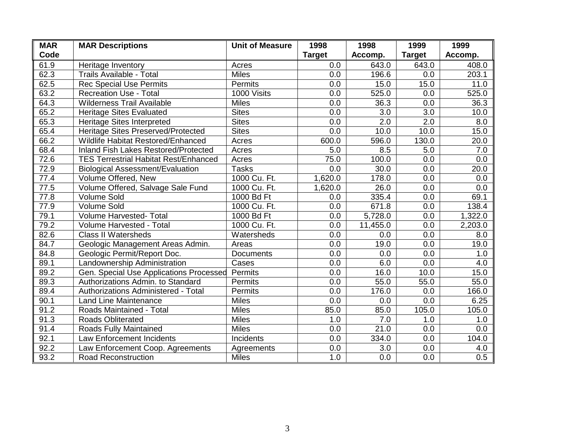| <b>MAR</b> | <b>MAR Descriptions</b>                      | <b>Unit of Measure</b> | 1998          | 1998     | 1999          | 1999    |
|------------|----------------------------------------------|------------------------|---------------|----------|---------------|---------|
| Code       |                                              |                        | <b>Target</b> | Accomp.  | <b>Target</b> | Accomp. |
| 61.9       | Heritage Inventory                           | Acres                  | 0.0           | 643.0    | 643.0         | 408.0   |
| 62.3       | <b>Trails Available - Total</b>              | <b>Miles</b>           | 0.0           | 196.6    | 0.0           | 203.1   |
| 62.5       | <b>Rec Special Use Permits</b>               | Permits                | 0.0           | 15.0     | 15.0          | 11.0    |
| 63.2       | <b>Recreation Use - Total</b>                | 1000 Visits            | 0.0           | 525.0    | 0.0           | 525.0   |
| 64.3       | <b>Wilderness Trail Available</b>            | <b>Miles</b>           | 0.0           | 36.3     | 0.0           | 36.3    |
| 65.2       | <b>Heritage Sites Evaluated</b>              | <b>Sites</b>           | 0.0           | 3.0      | 3.0           | 10.0    |
| 65.3       | <b>Heritage Sites Interpreted</b>            | <b>Sites</b>           | 0.0           | 2.0      | 2.0           | 8.0     |
| 65.4       | Heritage Sites Preserved/Protected           | <b>Sites</b>           | 0.0           | 10.0     | 10.0          | 15.0    |
| 66.2       | Wildlife Habitat Restored/Enhanced           | Acres                  | 600.0         | 596.0    | 130.0         | 20.0    |
| 68.4       | Inland Fish Lakes Restored/Protected         | Acres                  | 5.0           | 8.5      | 5.0           | 7.0     |
| 72.6       | <b>TES Terrestrial Habitat Rest/Enhanced</b> | Acres                  | 75.0          | 100.0    | 0.0           | 0.0     |
| 72.9       | <b>Biological Assessment/Evaluation</b>      | <b>Tasks</b>           | 0.0           | 30.0     | 0.0           | 20.0    |
| 77.4       | Volume Offered, New                          | 1000 Cu. Ft.           | 1,620.0       | 178.0    | 0.0           | 0.0     |
| 77.5       | Volume Offered, Salvage Sale Fund            | 1000 Cu. Ft.           | 1,620.0       | 26.0     | 0.0           | 0.0     |
| 77.8       | <b>Volume Sold</b>                           | 1000 Bd Ft             | 0.0           | 335.4    | 0.0           | 69.1    |
| 77.9       | <b>Volume Sold</b>                           | 1000 Cu. Ft.           | 0.0           | 671.8    | 0.0           | 138.4   |
| 79.1       | <b>Volume Harvested- Total</b>               | 1000 Bd Ft             | 0.0           | 5,728.0  | 0.0           | 1,322.0 |
| 79.2       | Volume Harvested - Total                     | 1000 Cu. Ft.           | 0.0           | 11,455.0 | 0.0           | 2,203.0 |
| 82.6       | <b>Class II Watersheds</b>                   | Watersheds             | 0.0           | 0.0      | 0.0           | 8.0     |
| 84.7       | Geologic Management Areas Admin.             | Areas                  | 0.0           | 19.0     | 0.0           | 19.0    |
| 84.8       | Geologic Permit/Report Doc.                  | <b>Documents</b>       | 0.0           | 0.0      | 0.0           | 1.0     |
| 89.1       | Landownership Administration                 | Cases                  | 0.0           | 6.0      | 0.0           | 4.0     |
| 89.2       | Gen. Special Use Applications Processed      | Permits                | 0.0           | 16.0     | 10.0          | 15.0    |
| 89.3       | Authorizations Admin. to Standard            | Permits                | 0.0           | 55.0     | 55.0          | 55.0    |
| 89.4       | Authorizations Administered - Total          | <b>Permits</b>         | 0.0           | 176.0    | 0.0           | 166.0   |
| 90.1       | <b>Land Line Maintenance</b>                 | <b>Miles</b>           | 0.0           | 0.0      | 0.0           | 6.25    |
| 91.2       | Roads Maintained - Total                     | <b>Miles</b>           | 85.0          | 85.0     | 105.0         | 105.0   |
| 91.3       | Roads Obliterated                            | <b>Miles</b>           | 1.0           | 7.0      | 1.0           | 1.0     |
| 91.4       | Roads Fully Maintained                       | <b>Miles</b>           | 0.0           | 21.0     | 0.0           | 0.0     |
| 92.1       | <b>Law Enforcement Incidents</b>             | Incidents              | 0.0           | 334.0    | 0.0           | 104.0   |
| 92.2       | Law Enforcement Coop. Agreements             | Agreements             | 0.0           | 3.0      | 0.0           | 4.0     |
| 93.2       | <b>Road Reconstruction</b>                   | <b>Miles</b>           | 1.0           | 0.0      | 0.0           | 0.5     |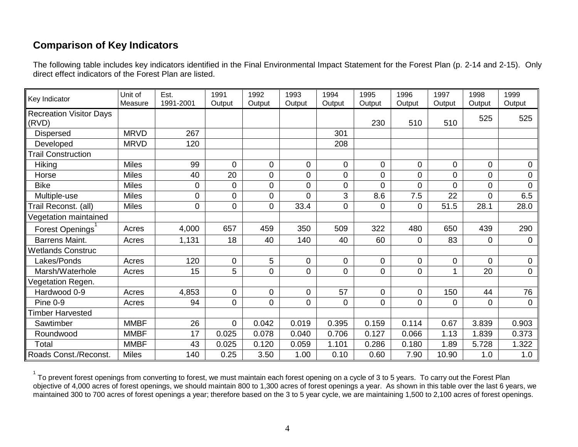### **Comparison of Key Indicators**

The following table includes key indicators identified in the Final Environmental Impact Statement for the Forest Plan (p. 2-14 and 2-15). Only direct effect indicators of the Forest Plan are listed.

| Key Indicator                           | Unit of<br>Measure | Est.<br>1991-2001 | 1991<br>Output | 1992<br>Output | 1993<br>Output | 1994<br>Output | 1995<br>Output | 1996<br>Output | 1997<br>Output | 1998<br>Output | 1999<br>Output |
|-----------------------------------------|--------------------|-------------------|----------------|----------------|----------------|----------------|----------------|----------------|----------------|----------------|----------------|
| <b>Recreation Visitor Days</b><br>(RVD) |                    |                   |                |                |                |                | 230            | 510            | 510            | 525            | 525            |
| <b>Dispersed</b>                        | <b>MRVD</b>        | 267               |                |                |                | 301            |                |                |                |                |                |
| Developed                               | <b>MRVD</b>        | 120               |                |                |                | 208            |                |                |                |                |                |
| <b>Trail Construction</b>               |                    |                   |                |                |                |                |                |                |                |                |                |
| Hiking                                  | <b>Miles</b>       | 99                | $\mathbf 0$    | $\overline{0}$ | $\mathbf 0$    | $\mathbf 0$    | 0              | 0              | $\overline{0}$ | $\overline{0}$ | 0              |
| Horse                                   | <b>Miles</b>       | 40                | 20             | $\mathbf 0$    | 0              | 0              | 0              | 0              | $\overline{0}$ | 0              | 0              |
| <b>Bike</b>                             | <b>Miles</b>       | 0                 | $\pmb{0}$      | $\mathbf 0$    | 0              | 0              | 0              | 0              | 0              | 0              | 0              |
| Multiple-use                            | <b>Miles</b>       | 0                 | $\mathbf 0$    | $\mathbf 0$    | 0              | 3              | 8.6            | 7.5            | 22             | $\overline{0}$ | 6.5            |
| Trail Reconst. (all)                    | <b>Miles</b>       | 0                 | 0              | $\overline{0}$ | 33.4           | 0              | 0              | 0              | 51.5           | 28.1           | 28.0           |
| Vegetation maintained                   |                    |                   |                |                |                |                |                |                |                |                |                |
| Forest Openings                         | Acres              | 4,000             | 657            | 459            | 350            | 509            | 322            | 480            | 650            | 439            | 290            |
| Barrens Maint.                          | Acres              | 1,131             | 18             | 40             | 140            | 40             | 60             | 0              | 83             | 0              | $\pmb{0}$      |
| <b>Wetlands Construc</b>                |                    |                   |                |                |                |                |                |                |                |                |                |
| Lakes/Ponds                             | Acres              | 120               | $\mathbf 0$    | 5              | $\mathbf 0$    | 0              | 0              | 0              | 0              | 0              | $\mathbf 0$    |
| Marsh/Waterhole                         | Acres              | 15                | 5              | $\mathbf 0$    | 0              | $\overline{0}$ | 0              | 0              | 1              | 20             | 0              |
| Vegetation Regen.                       |                    |                   |                |                |                |                |                |                |                |                |                |
| Hardwood 0-9                            | Acres              | 4,853             | $\mathbf 0$    | $\mathbf 0$    | 0              | 57             | 0              | $\mathbf 0$    | 150            | 44             | 76             |
| <b>Pine 0-9</b>                         | Acres              | 94                | $\overline{0}$ | $\mathbf 0$    | 0              | $\overline{0}$ | 0              | 0              | $\overline{0}$ | $\overline{0}$ | $\mathbf 0$    |
| <b>Timber Harvested</b>                 |                    |                   |                |                |                |                |                |                |                |                |                |
| Sawtimber                               | <b>MMBF</b>        | 26                | $\overline{0}$ | 0.042          | 0.019          | 0.395          | 0.159          | 0.114          | 0.67           | 3.839          | 0.903          |
| Roundwood                               | <b>MMBF</b>        | 17                | 0.025          | 0.078          | 0.040          | 0.706          | 0.127          | 0.066          | 1.13           | 1.839          | 0.373          |
| Total                                   | <b>MMBF</b>        | 43                | 0.025          | 0.120          | 0.059          | 1.101          | 0.286          | 0.180          | 1.89           | 5.728          | 1.322          |
| Roads Const./Reconst.                   | <b>Miles</b>       | 140               | 0.25           | 3.50           | 1.00           | 0.10           | 0.60           | 7.90           | 10.90          | 1.0            | 1.0            |

 $^1$  To prevent forest openings from converting to forest, we must maintain each forest opening on a cycle of 3 to 5 years. To carry out the Forest Plan objective of 4,000 acres of forest openings, we should maintain 800 to 1,300 acres of forest openings a year. As shown in this table over the last 6 years, we maintained 300 to 700 acres of forest openings a year; therefore based on the 3 to 5 year cycle, we are maintaining 1,500 to 2,100 acres of forest openings.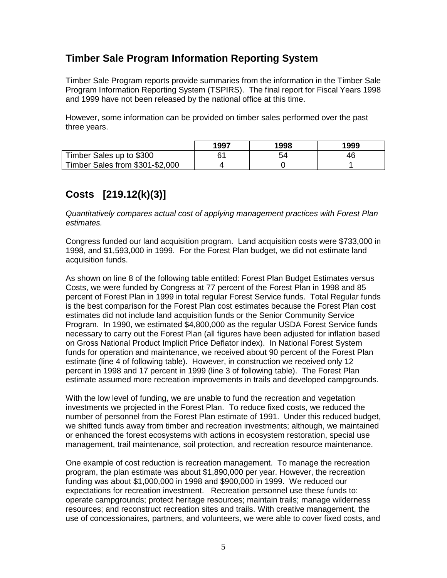### **Timber Sale Program Information Reporting System**

Timber Sale Program reports provide summaries from the information in the Timber Sale Program Information Reporting System (TSPIRS). The final report for Fiscal Years 1998 and 1999 have not been released by the national office at this time.

However, some information can be provided on timber sales performed over the past three years.

|                                 | 1997 | 1998 | 1999 |
|---------------------------------|------|------|------|
| Timber Sales up to \$300        | .ء   |      |      |
| Timber Sales from \$301-\$2,000 |      |      |      |

### **Costs [219.12(k)(3)]**

Quantitatively compares actual cost of applying management practices with Forest Plan estimates.

Congress funded our land acquisition program. Land acquisition costs were \$733,000 in 1998, and \$1,593,000 in 1999. For the Forest Plan budget, we did not estimate land acquisition funds.

As shown on line 8 of the following table entitled: Forest Plan Budget Estimates versus Costs, we were funded by Congress at 77 percent of the Forest Plan in 1998 and 85 percent of Forest Plan in 1999 in total regular Forest Service funds. Total Regular funds is the best comparison for the Forest Plan cost estimates because the Forest Plan cost estimates did not include land acquisition funds or the Senior Community Service Program. In 1990, we estimated \$4,800,000 as the regular USDA Forest Service funds necessary to carry out the Forest Plan (all figures have been adjusted for inflation based on Gross National Product Implicit Price Deflator index). In National Forest System funds for operation and maintenance, we received about 90 percent of the Forest Plan estimate (line 4 of following table). However, in construction we received only 12 percent in 1998 and 17 percent in 1999 (line 3 of following table). The Forest Plan estimate assumed more recreation improvements in trails and developed campgrounds.

With the low level of funding, we are unable to fund the recreation and vegetation investments we projected in the Forest Plan. To reduce fixed costs, we reduced the number of personnel from the Forest Plan estimate of 1991. Under this reduced budget, we shifted funds away from timber and recreation investments; although, we maintained or enhanced the forest ecosystems with actions in ecosystem restoration, special use management, trail maintenance, soil protection, and recreation resource maintenance.

One example of cost reduction is recreation management. To manage the recreation program, the plan estimate was about \$1,890,000 per year. However, the recreation funding was about \$1,000,000 in 1998 and \$900,000 in 1999. We reduced our expectations for recreation investment. Recreation personnel use these funds to: operate campgrounds; protect heritage resources; maintain trails; manage wilderness resources; and reconstruct recreation sites and trails. With creative management, the use of concessionaires, partners, and volunteers, we were able to cover fixed costs, and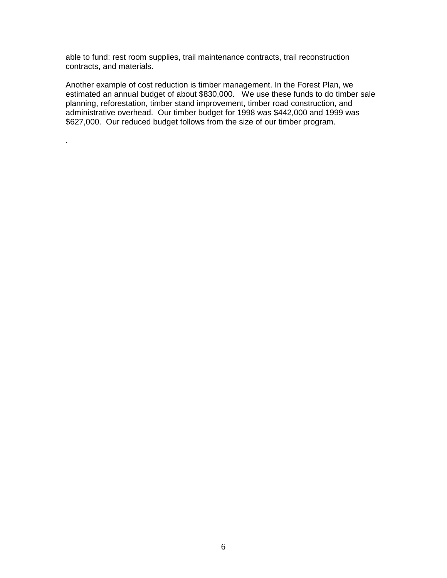able to fund: rest room supplies, trail maintenance contracts, trail reconstruction contracts, and materials.

.

Another example of cost reduction is timber management. In the Forest Plan, we estimated an annual budget of about \$830,000. We use these funds to do timber sale planning, reforestation, timber stand improvement, timber road construction, and administrative overhead. Our timber budget for 1998 was \$442,000 and 1999 was \$627,000. Our reduced budget follows from the size of our timber program.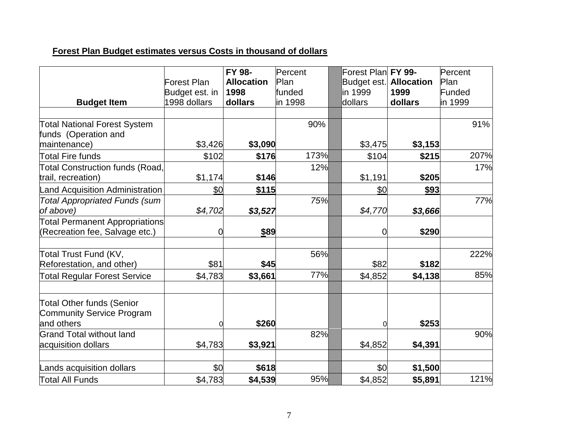### **Forest Plan Budget estimates versus Costs in thousand of dollars**

|                                                                             | Forest Plan<br>Budget est. in | FY 98-<br><b>Allocation</b><br>1998 | Percent<br>Plan<br>funded | Forest Plan FY 99-<br>Budget est.<br>lin 1999 | <b>Allocation</b><br>1999 | Percent<br>Plan<br>Funded |
|-----------------------------------------------------------------------------|-------------------------------|-------------------------------------|---------------------------|-----------------------------------------------|---------------------------|---------------------------|
| <b>Budget Item</b>                                                          | 1998 dollars                  | dollars                             | in 1998                   | dollars                                       | dollars                   | in 1999                   |
|                                                                             |                               |                                     |                           |                                               |                           |                           |
| <b>Total National Forest System</b><br>funds (Operation and                 |                               |                                     | 90%                       |                                               |                           | 91%                       |
| maintenance)                                                                | \$3,426                       | \$3,090                             |                           | \$3,475                                       | \$3,153                   |                           |
| <b>Total Fire funds</b>                                                     | \$102                         | \$176                               | 173%                      | \$104                                         | \$215                     | 207%                      |
| <b>Total Construction funds (Road,</b><br>trail, recreation)                | \$1,174                       | \$146                               | 12%                       | \$1,191                                       | \$205                     | 17%                       |
| <b>Land Acquisition Administration</b>                                      | \$0                           | \$115                               |                           | \$0                                           | \$93                      |                           |
| <b>Total Appropriated Funds (sum</b><br>of above)                           | \$4,702                       | \$3,527                             | 75%                       | \$4,770                                       | \$3,666                   | 77%                       |
| Total Permanent Appropriations<br>(Recreation fee, Salvage etc.)            |                               | \$89                                |                           | $\overline{0}$                                | \$290                     |                           |
| Total Trust Fund (KV,<br>Reforestation, and other)                          | \$81                          | \$45                                | 56%                       | \$82                                          | \$182                     | 222%                      |
| <b>Total Regular Forest Service</b>                                         | \$4,783                       | \$3,661                             | 77%                       | \$4,852                                       | \$4,138                   | 85%                       |
| Total Other funds (Senior<br><b>Community Service Program</b><br>and others |                               | \$260                               |                           | $\Omega$                                      | \$253                     |                           |
| <b>Grand Total without land</b><br>acquisition dollars                      | \$4,783                       | \$3,921                             | 82%                       | \$4,852                                       | \$4,391                   | 90%                       |
| Lands acquisition dollars                                                   | \$0                           | \$618                               |                           | \$0                                           | \$1,500                   |                           |
| Total All Funds                                                             | \$4,783                       | \$4,539                             | 95%                       | \$4,852                                       | \$5,891                   | 121%                      |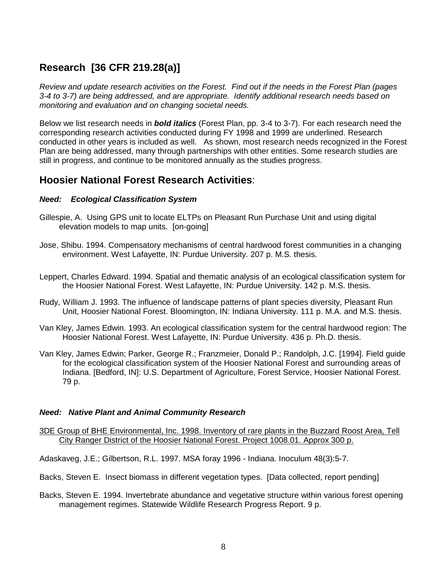### **Research [36 CFR 219.28(a)]**

Review and update research activities on the Forest. Find out if the needs in the Forest Plan (pages 3-4 to 3-7) are being addressed, and are appropriate. Identify additional research needs based on monitoring and evaluation and on changing societal needs.

Below we list research needs in **bold italics** (Forest Plan, pp. 3-4 to 3-7). For each research need the corresponding research activities conducted during FY 1998 and 1999 are underlined. Research conducted in other years is included as well. As shown, most research needs recognized in the Forest Plan are being addressed, many through partnerships with other entities. Some research studies are still in progress, and continue to be monitored annually as the studies progress.

### **Hoosier National Forest Research Activities**:

#### **Need: Ecological Classification System**

- Gillespie, A. Using GPS unit to locate ELTPs on Pleasant Run Purchase Unit and using digital elevation models to map units. [on-going]
- Jose, Shibu. 1994. Compensatory mechanisms of central hardwood forest communities in a changing environment. West Lafayette, IN: Purdue University. 207 p. M.S. thesis.
- Leppert, Charles Edward. 1994. Spatial and thematic analysis of an ecological classification system for the Hoosier National Forest. West Lafayette, IN: Purdue University. 142 p. M.S. thesis.
- Rudy, William J. 1993. The influence of landscape patterns of plant species diversity, Pleasant Run Unit, Hoosier National Forest. Bloomington, IN: Indiana University. 111 p. M.A. and M.S. thesis.
- Van Kley, James Edwin. 1993. An ecological classification system for the central hardwood region: The Hoosier National Forest. West Lafayette, IN: Purdue University. 436 p. Ph.D. thesis.
- Van Kley, James Edwin; Parker, George R.; Franzmeier, Donald P.; Randolph, J.C. [1994]. Field guide for the ecological classification system of the Hoosier National Forest and surrounding areas of Indiana. [Bedford, IN]: U.S. Department of Agriculture, Forest Service, Hoosier National Forest. 79 p.

#### **Need: Native Plant and Animal Community Research**

- 3DE Group of BHE Environmental, Inc. 1998. Inventory of rare plants in the Buzzard Roost Area, Tell City Ranger District of the Hoosier National Forest. Project 1008.01. Approx 300 p.
- Adaskaveg, J.E.; Gilbertson, R.L. 1997. MSA foray 1996 Indiana. Inoculum 48(3):5-7.
- Backs, Steven E. Insect biomass in different vegetation types. [Data collected, report pending]
- Backs, Steven E. 1994. Invertebrate abundance and vegetative structure within various forest opening management regimes. Statewide Wildlife Research Progress Report. 9 p.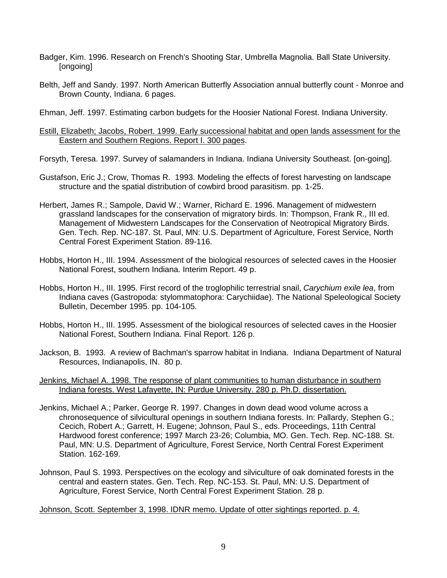- Badger, Kim. 1996. Research on French's Shooting Star, Umbrella Magnolia. Ball State University. [ongoing]
- Belth, Jeff and Sandy. 1997. North American Butterfly Association annual butterfly count Monroe and Brown County, Indiana. 6 pages.

Ehman, Jeff. 1997. Estimating carbon budgets for the Hoosier National Forest. Indiana University.

#### Estill, Elizabeth; Jacobs, Robert. 1999. Early successional habitat and open lands assessment for the Eastern and Southern Regions. Report I. 300 pages.

Forsyth, Teresa. 1997. Survey of salamanders in Indiana. Indiana University Southeast. [on-going].

- Gustafson, Eric J.; Crow, Thomas R. 1993. Modeling the effects of forest harvesting on landscape structure and the spatial distribution of cowbird brood parasitism. pp. 1-25.
- Herbert, James R.; Sampole, David W.; Warner, Richard E. 1996. Management of midwestern grassland landscapes for the conservation of migratory birds. In: Thompson, Frank R., III ed. Management of Midwestern Landscapes for the Conservation of Neotropical Migratory Birds. Gen. Tech. Rep. NC-187. St. Paul, MN: U.S. Department of Agriculture, Forest Service, North Central Forest Experiment Station. 89-116.
- Hobbs, Horton H., III. 1994. Assessment of the biological resources of selected caves in the Hoosier National Forest, southern Indiana. Interim Report. 49 p.
- Hobbs, Horton H., III. 1995. First record of the troglophilic terrestrial snail, Carychium exile lea, from Indiana caves (Gastropoda: stylommatophora: Carychiidae). The National Speleological Society Bulletin, December 1995. pp. 104-105.
- Hobbs, Horton H., III. 1995. Assessment of the biological resources of selected caves in the Hoosier National Forest, Southern Indiana. Final Report. 126 p.
- Jackson, B. 1993. A review of Bachman's sparrow habitat in Indiana. Indiana Department of Natural Resources, Indianapolis, IN. 80 p.

#### Jenkins, Michael A. 1998. The response of plant communities to human disturbance in southern Indiana forests. West Lafayette, IN: Purdue University. 280 p. Ph.D. dissertation.

- Jenkins, Michael A.; Parker, George R. 1997. Changes in down dead wood volume across a chronosequence of silvicultural openings in southern Indiana forests. In: Pallardy, Stephen G.; Cecich, Robert A.; Garrett, H. Eugene; Johnson, Paul S., eds. Proceedings, 11th Central Hardwood forest conference; 1997 March 23-26; Columbia, MO. Gen. Tech. Rep. NC-188. St. Paul, MN: U.S. Department of Agriculture, Forest Service, North Central Forest Experiment Station. 162-169.
- Johnson, Paul S. 1993. Perspectives on the ecology and silviculture of oak dominated forests in the central and eastern states. Gen. Tech. Rep. NC-153. St. Paul, MN: U.S. Department of Agriculture, Forest Service, North Central Forest Experiment Station. 28 p.

Johnson, Scott. September 3, 1998. IDNR memo. Update of otter sightings reported. p. 4.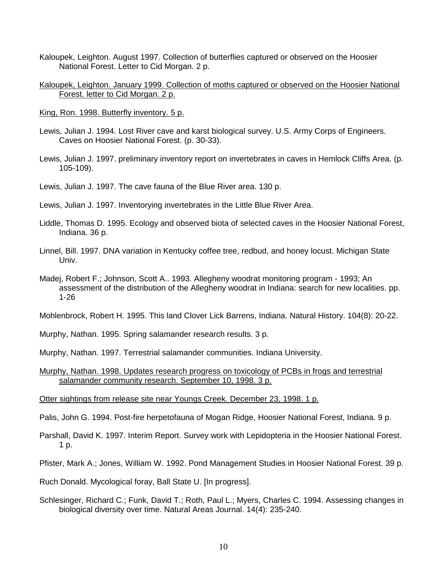Kaloupek, Leighton. August 1997. Collection of butterflies captured or observed on the Hoosier National Forest. Letter to Cid Morgan. 2 p.

#### Kaloupek, Leighton. January 1999. Collection of moths captured or observed on the Hoosier National Forest. letter to Cid Morgan. 2 p.

- King, Ron. 1998. Butterfly inventory. 5 p.
- Lewis, Julian J. 1994. Lost River cave and karst biological survey. U.S. Army Corps of Engineers. Caves on Hoosier National Forest. (p. 30-33).
- Lewis, Julian J. 1997. preliminary inventory report on invertebrates in caves in Hemlock Cliffs Area. (p. 105-109).

Lewis, Julian J. 1997. The cave fauna of the Blue River area. 130 p.

- Lewis, Julian J. 1997. Inventorying invertebrates in the Little Blue River Area.
- Liddle, Thomas D. 1995. Ecology and observed biota of selected caves in the Hoosier National Forest, Indiana. 36 p.
- Linnel, Bill. 1997. DNA variation in Kentucky coffee tree, redbud, and honey locust. Michigan State Univ.
- Madej, Robert F.; Johnson, Scott A.. 1993. Allegheny woodrat monitoring program 1993; An assessment of the distribution of the Allegheny woodrat in Indiana: search for new localities. pp. 1-26

Mohlenbrock, Robert H. 1995. This land Clover Lick Barrens, Indiana. Natural History. 104(8): 20-22.

Murphy, Nathan. 1995. Spring salamander research results. 3 p.

Murphy, Nathan. 1997. Terrestrial salamander communities. Indiana University.

Murphy, Nathan. 1998. Updates research progress on toxicology of PCBs in frogs and terrestrial salamander community research. September 10, 1998. 3 p.

Otter sightings from release site near Youngs Creek. December 23, 1998. 1 p.

Palis, John G. 1994. Post-fire herpetofauna of Mogan Ridge, Hoosier National Forest, Indiana. 9 p.

Parshall, David K. 1997. Interim Report. Survey work with Lepidopteria in the Hoosier National Forest. 1 p.

Pfister, Mark A.; Jones, William W. 1992. Pond Management Studies in Hoosier National Forest. 39 p.

Ruch Donald. Mycological foray, Ball State U. [In progress].

Schlesinger, Richard C.; Funk, David T.; Roth, Paul L.; Myers, Charles C. 1994. Assessing changes in biological diversity over time. Natural Areas Journal. 14(4): 235-240.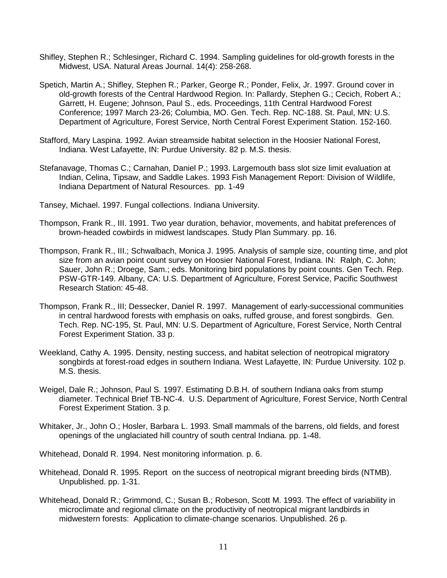- Shifley, Stephen R.; Schlesinger, Richard C. 1994. Sampling guidelines for old-growth forests in the Midwest, USA. Natural Areas Journal. 14(4): 258-268.
- Spetich, Martin A.; Shifley, Stephen R.; Parker, George R.; Ponder, Felix, Jr. 1997. Ground cover in old-growth forests of the Central Hardwood Region. In: Pallardy, Stephen G.; Cecich, Robert A.; Garrett, H. Eugene; Johnson, Paul S., eds. Proceedings, 11th Central Hardwood Forest Conference; 1997 March 23-26; Columbia, MO. Gen. Tech. Rep. NC-188. St. Paul, MN: U.S. Department of Agriculture, Forest Service, North Central Forest Experiment Station. 152-160.
- Stafford, Mary Laspina. 1992. Avian streamside habitat selection in the Hoosier National Forest, Indiana. West Lafayette, IN: Purdue University. 82 p. M.S. thesis.
- Stefanavage, Thomas C.; Carnahan, Daniel P.; 1993. Largemouth bass slot size limit evaluation at Indian, Celina, Tipsaw, and Saddle Lakes. 1993 Fish Management Report: Division of Wildlife, Indiana Department of Natural Resources. pp. 1-49
- Tansey, Michael. 1997. Fungal collections. Indiana University.
- Thompson, Frank R., III. 1991. Two year duration, behavior, movements, and habitat preferences of brown-headed cowbirds in midwest landscapes. Study Plan Summary. pp. 16.
- Thompson, Frank R., III.; Schwalbach, Monica J. 1995. Analysis of sample size, counting time, and plot size from an avian point count survey on Hoosier National Forest, Indiana. IN: Ralph, C. John; Sauer, John R.; Droege, Sam.; eds. Monitoring bird populations by point counts. Gen Tech. Rep. PSW-GTR-149. Albany, CA: U.S. Department of Agriculture, Forest Service, Pacific Southwest Research Station: 45-48.
- Thompson, Frank R., III; Dessecker, Daniel R. 1997. Management of early-successional communities in central hardwood forests with emphasis on oaks, ruffed grouse, and forest songbirds. Gen. Tech. Rep. NC-195, St. Paul, MN: U.S. Department of Agriculture, Forest Service, North Central Forest Experiment Station. 33 p.
- Weekland, Cathy A. 1995. Density, nesting success, and habitat selection of neotropical migratory songbirds at forest-road edges in southern Indiana. West Lafayette, IN: Purdue University. 102 p. M.S. thesis.
- Weigel, Dale R.; Johnson, Paul S. 1997. Estimating D.B.H. of southern Indiana oaks from stump diameter. Technical Brief TB-NC-4. U.S. Department of Agriculture, Forest Service, North Central Forest Experiment Station. 3 p.
- Whitaker, Jr., John O.; Hosler, Barbara L. 1993. Small mammals of the barrens, old fields, and forest openings of the unglaciated hill country of south central Indiana. pp. 1-48.
- Whitehead, Donald R. 1994. Nest monitoring information. p. 6.
- Whitehead, Donald R. 1995. Report on the success of neotropical migrant breeding birds (NTMB). Unpublished. pp. 1-31.
- Whitehead, Donald R.; Grimmond, C.; Susan B.; Robeson, Scott M. 1993. The effect of variability in microclimate and regional climate on the productivity of neotropical migrant landbirds in midwestern forests: Application to climate-change scenarios. Unpublished. 26 p.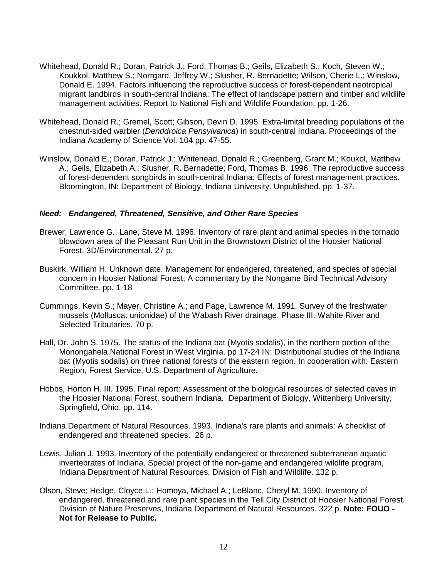- Whitehead, Donald R.; Doran, Patrick J.; Ford, Thomas B.; Geils, Elizabeth S.; Koch, Steven W.; Koukkol, Matthew S.; Norrgard, Jeffrey W.; Slusher, R. Bernadette; Wilson, Cherie L.; Winslow, Donald E. 1994. Factors influencing the reproductive success of forest-dependent neotropical migrant landbirds in south-central Indiana: The effect of landscape pattern and timber and wildlife management activities. Report to National Fish and Wildlife Foundation. pp. 1-26.
- Whitehead, Donald R.; Gremel, Scott; Gibson, Devin D. 1995. Extra-limital breeding populations of the chestnut-sided warbler (Denddroica Pensylvanica) in south-central Indiana. Proceedings of the Indiana Academy of Science Vol. 104 pp. 47-55.
- Winslow, Donald E.; Doran, Patrick J.; Whitehead, Donald R.; Greenberg, Grant M.; Koukol, Matthew A.; Geils, Elizabeth A.; Slusher, R. Bernadette; Ford, Thomas B. 1996. The reproductive success of forest-dependent songbirds in south-central Indiana: Effects of forest management practices. Bloomington, IN: Department of Biology, Indiana University. Unpublished. pp. 1-37.

#### **Need: Endangered, Threatened, Sensitive, and Other Rare Species**

- Brewer, Lawrence G.; Lane, Steve M. 1996. Inventory of rare plant and animal species in the tornado blowdown area of the Pleasant Run Unit in the Brownstown District of the Hoosier National Forest. 3D/Environmental. 27 p.
- Buskirk, William H. Unknown date. Management for endangered, threatened, and species of special concern in Hoosier National Forest; A commentary by the Nongame Bird Technical Advisory Committee. pp. 1-18
- Cummings, Kevin S.; Mayer, Christine A.; and Page, Lawrence M. 1991. Survey of the freshwater mussels (Mollusca: unionidae) of the Wabash River drainage. Phase III: Wahite River and Selected Tributaries. 70 p.
- Hall, Dr. John S. 1975. The status of the Indiana bat (Myotis sodalis), in the northern portion of the Monongahela National Forest in West Virginia. pp 17-24 IN: Distributional studies of the Indiana bat (Myotis sodalis) on three national forests of the eastern region. In cooperation with: Eastern Region, Forest Service, U.S. Department of Agriculture.
- Hobbs, Horton H. III. 1995. Final report: Assessment of the biological resources of selected caves in the Hoosier National Forest, southern Indiana. Department of Biology, Wittenberg University, Springfield, Ohio. pp. 114.
- Indiana Department of Natural Resources. 1993. Indiana's rare plants and animals: A checklist of endangered and threatened species. 26 p.
- Lewis, Julian J. 1993. Inventory of the potentially endangered or threatened subterranean aquatic invertebrates of Indiana. Special project of the non-game and endangered wildlife program, Indiana Department of Natural Resources, Division of Fish and Wildlife. 132 p.
- Olson, Steve; Hedge, Cloyce L.; Homoya, Michael A.; LeBlanc, Cheryl M. 1990. Inventory of endangered, threatened and rare plant species in the Tell City District of Hoosier National Forest. Division of Nature Preserves, Indiana Department of Natural Resources. 322 p. **Note: FOUO - Not for Release to Public.**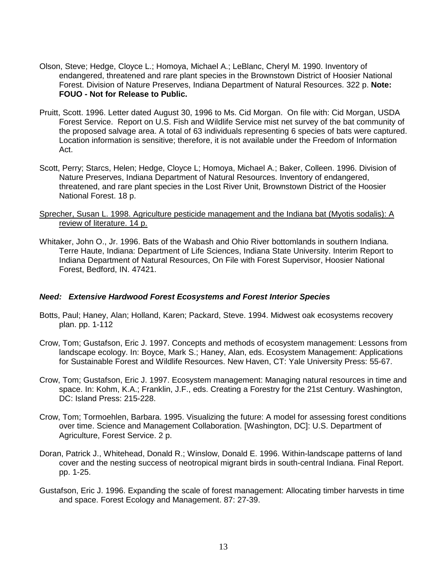- Olson, Steve; Hedge, Cloyce L.; Homoya, Michael A.; LeBlanc, Cheryl M. 1990. Inventory of endangered, threatened and rare plant species in the Brownstown District of Hoosier National Forest. Division of Nature Preserves, Indiana Department of Natural Resources. 322 p. **Note: FOUO - Not for Release to Public.**
- Pruitt, Scott. 1996. Letter dated August 30, 1996 to Ms. Cid Morgan. On file with: Cid Morgan, USDA Forest Service. Report on U.S. Fish and Wildlife Service mist net survey of the bat community of the proposed salvage area. A total of 63 individuals representing 6 species of bats were captured. Location information is sensitive; therefore, it is not available under the Freedom of Information Act.
- Scott, Perry; Starcs, Helen; Hedge, Cloyce L; Homoya, Michael A.; Baker, Colleen. 1996. Division of Nature Preserves, Indiana Department of Natural Resources. Inventory of endangered, threatened, and rare plant species in the Lost River Unit, Brownstown District of the Hoosier National Forest. 18 p.

#### Sprecher, Susan L. 1998. Agriculture pesticide management and the Indiana bat (Myotis sodalis): A review of literature. 14 p.

Whitaker, John O., Jr. 1996. Bats of the Wabash and Ohio River bottomlands in southern Indiana. Terre Haute, Indiana: Department of Life Sciences, Indiana State University. Interim Report to Indiana Department of Natural Resources, On File with Forest Supervisor, Hoosier National Forest, Bedford, IN. 47421.

#### **Need: Extensive Hardwood Forest Ecosystems and Forest Interior Species**

- Botts, Paul; Haney, Alan; Holland, Karen; Packard, Steve. 1994. Midwest oak ecosystems recovery plan. pp. 1-112
- Crow, Tom; Gustafson, Eric J. 1997. Concepts and methods of ecosystem management: Lessons from landscape ecology. In: Boyce, Mark S.; Haney, Alan, eds. Ecosystem Management: Applications for Sustainable Forest and Wildlife Resources. New Haven, CT: Yale University Press: 55-67.
- Crow, Tom; Gustafson, Eric J. 1997. Ecosystem management: Managing natural resources in time and space. In: Kohm, K.A.; Franklin, J.F., eds. Creating a Forestry for the 21st Century. Washington, DC: Island Press: 215-228.
- Crow, Tom; Tormoehlen, Barbara. 1995. Visualizing the future: A model for assessing forest conditions over time. Science and Management Collaboration. [Washington, DC]: U.S. Department of Agriculture, Forest Service. 2 p.
- Doran, Patrick J., Whitehead, Donald R.; Winslow, Donald E. 1996. Within-landscape patterns of land cover and the nesting success of neotropical migrant birds in south-central Indiana. Final Report. pp. 1-25.
- Gustafson, Eric J. 1996. Expanding the scale of forest management: Allocating timber harvests in time and space. Forest Ecology and Management. 87: 27-39.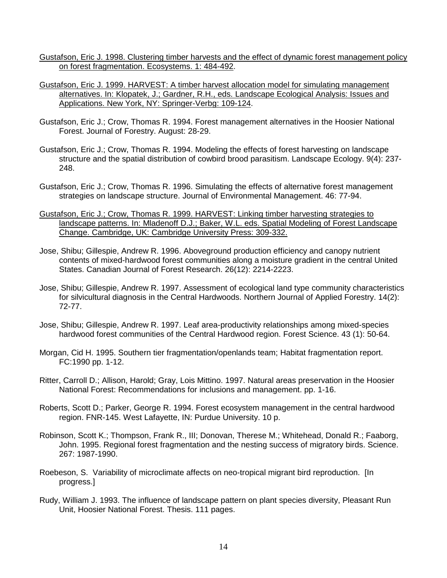- Gustafson, Eric J. 1998. Clustering timber harvests and the effect of dynamic forest management policy on forest fragmentation. Ecosystems. 1: 484-492.
- Gustafson, Eric J. 1999. HARVEST: A timber harvest allocation model for simulating management alternatives. In: Klopatek, J.; Gardner, R.H., eds. Landscape Ecological Analysis: Issues and Applications. New York, NY: Springer-Verbg: 109-124.
- Gustafson, Eric J.; Crow, Thomas R. 1994. Forest management alternatives in the Hoosier National Forest. Journal of Forestry. August: 28-29.
- Gustafson, Eric J.; Crow, Thomas R. 1994. Modeling the effects of forest harvesting on landscape structure and the spatial distribution of cowbird brood parasitism. Landscape Ecology. 9(4): 237- 248.
- Gustafson, Eric J.; Crow, Thomas R. 1996. Simulating the effects of alternative forest management strategies on landscape structure. Journal of Environmental Management. 46: 77-94.
- Gustafson, Eric J.; Crow, Thomas R. 1999. HARVEST: Linking timber harvesting strategies to landscape patterns. In: Mladenoff D.J.; Baker, W.L. eds. Spatial Modeling of Forest Landscape Change. Cambridge, UK: Cambridge University Press: 309-332.
- Jose, Shibu; Gillespie, Andrew R. 1996. Aboveground production efficiency and canopy nutrient contents of mixed-hardwood forest communities along a moisture gradient in the central United States. Canadian Journal of Forest Research. 26(12): 2214-2223.
- Jose, Shibu; Gillespie, Andrew R. 1997. Assessment of ecological land type community characteristics for silvicultural diagnosis in the Central Hardwoods. Northern Journal of Applied Forestry. 14(2): 72-77.
- Jose, Shibu; Gillespie, Andrew R. 1997. Leaf area-productivity relationships among mixed-species hardwood forest communities of the Central Hardwood region. Forest Science. 43 (1): 50-64.
- Morgan, Cid H. 1995. Southern tier fragmentation/openlands team; Habitat fragmentation report. FC:1990 pp. 1-12.
- Ritter, Carroll D.; Allison, Harold; Gray, Lois Mittino. 1997. Natural areas preservation in the Hoosier National Forest: Recommendations for inclusions and management. pp. 1-16.
- Roberts, Scott D.; Parker, George R. 1994. Forest ecosystem management in the central hardwood region. FNR-145. West Lafayette, IN: Purdue University. 10 p.
- Robinson, Scott K.; Thompson, Frank R., III; Donovan, Therese M.; Whitehead, Donald R.; Faaborg, John. 1995. Regional forest fragmentation and the nesting success of migratory birds. Science. 267: 1987-1990.
- Roebeson, S. Variability of microclimate affects on neo-tropical migrant bird reproduction. [In progress.]
- Rudy, William J. 1993. The influence of landscape pattern on plant species diversity, Pleasant Run Unit, Hoosier National Forest. Thesis. 111 pages.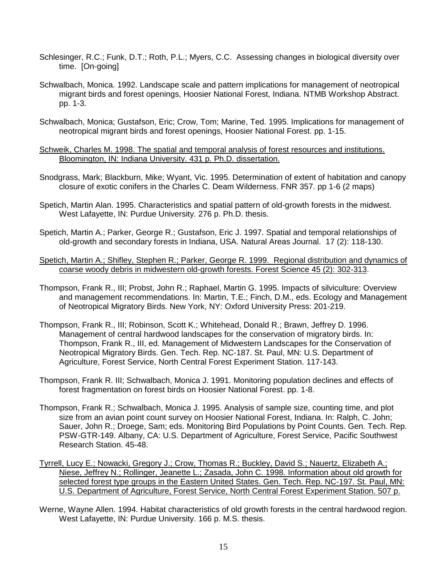- Schlesinger, R.C.; Funk, D.T.; Roth, P.L.; Myers, C.C. Assessing changes in biological diversity over time. [On-going]
- Schwalbach, Monica. 1992. Landscape scale and pattern implications for management of neotropical migrant birds and forest openings, Hoosier National Forest, Indiana. NTMB Workshop Abstract. pp. 1-3.
- Schwalbach, Monica; Gustafson, Eric; Crow, Tom; Marine, Ted. 1995. Implications for management of neotropical migrant birds and forest openings, Hoosier National Forest. pp. 1-15.
- Schweik, Charles M. 1998. The spatial and temporal analysis of forest resources and institutions. Bloomington, IN: Indiana University. 431 p. Ph.D. dissertation.
- Snodgrass, Mark; Blackburn, Mike; Wyant, Vic. 1995. Determination of extent of habitation and canopy closure of exotic conifers in the Charles C. Deam Wilderness. FNR 357. pp 1-6 (2 maps)
- Spetich, Martin Alan. 1995. Characteristics and spatial pattern of old-growth forests in the midwest. West Lafayette, IN: Purdue University. 276 p. Ph.D. thesis.
- Spetich, Martin A.; Parker, George R.; Gustafson, Eric J. 1997. Spatial and temporal relationships of old-growth and secondary forests in Indiana, USA. Natural Areas Journal. 17 (2): 118-130.
- Spetich, Martin A.; Shifley, Stephen R.; Parker, George R. 1999. Regional distribution and dynamics of coarse woody debris in midwestern old-growth forests. Forest Science 45 (2): 302-313.
- Thompson, Frank R., III; Probst, John R.; Raphael, Martin G. 1995. Impacts of silviculture: Overview and management recommendations. In: Martin, T.E.; Finch, D.M., eds. Ecology and Management of Neotropical Migratory Birds. New York, NY: Oxford University Press: 201-219.
- Thompson, Frank R., III; Robinson, Scott K.; Whitehead, Donald R.; Brawn, Jeffrey D. 1996. Management of central hardwood landscapes for the conservation of migratory birds. In: Thompson, Frank R., III, ed. Management of Midwestern Landscapes for the Conservation of Neotropical Migratory Birds. Gen. Tech. Rep. NC-187. St. Paul, MN: U.S. Department of Agriculture, Forest Service, North Central Forest Experiment Station. 117-143.
- Thompson, Frank R. III; Schwalbach, Monica J. 1991. Monitoring population declines and effects of forest fragmentation on forest birds on Hoosier National Forest. pp. 1-8.
- Thompson, Frank R.; Schwalbach, Monica J. 1995. Analysis of sample size, counting time, and plot size from an avian point count survey on Hoosier National Forest, Indiana. In: Ralph, C. John; Sauer, John R.; Droege, Sam; eds. Monitoring Bird Populations by Point Counts. Gen. Tech. Rep. PSW-GTR-149. Albany, CA: U.S. Department of Agriculture, Forest Service, Pacific Southwest Research Station. 45-48.
- Tyrrell, Lucy E.; Nowacki, Gregory J.; Crow, Thomas R.; Buckley, David S.; Nauertz, Elizabeth A.; Niese, Jeffrey N.; Rollinger, Jeanette L.; Zasada, John C. 1998. Information about old growth for selected forest type groups in the Eastern United States. Gen. Tech. Rep. NC-197. St. Paul, MN: U.S. Department of Agriculture, Forest Service, North Central Forest Experiment Station. 507 p.
- Werne, Wayne Allen. 1994. Habitat characteristics of old growth forests in the central hardwood region. West Lafayette, IN: Purdue University. 166 p. M.S. thesis.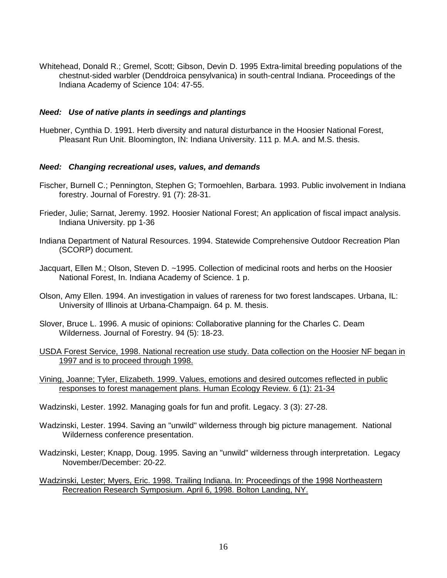Whitehead, Donald R.; Gremel, Scott; Gibson, Devin D. 1995 Extra-limital breeding populations of the chestnut-sided warbler (Denddroica pensylvanica) in south-central Indiana. Proceedings of the Indiana Academy of Science 104: 47-55.

#### **Need: Use of native plants in seedings and plantings**

Huebner, Cynthia D. 1991. Herb diversity and natural disturbance in the Hoosier National Forest, Pleasant Run Unit. Bloomington, IN: Indiana University. 111 p. M.A. and M.S. thesis.

#### **Need: Changing recreational uses, values, and demands**

- Fischer, Burnell C.; Pennington, Stephen G; Tormoehlen, Barbara. 1993. Public involvement in Indiana forestry. Journal of Forestry. 91 (7): 28-31.
- Frieder, Julie; Sarnat, Jeremy. 1992. Hoosier National Forest; An application of fiscal impact analysis. Indiana University. pp 1-36
- Indiana Department of Natural Resources. 1994. Statewide Comprehensive Outdoor Recreation Plan (SCORP) document.
- Jacquart, Ellen M.; Olson, Steven D. ~1995. Collection of medicinal roots and herbs on the Hoosier National Forest, In. Indiana Academy of Science. 1 p.
- Olson, Amy Ellen. 1994. An investigation in values of rareness for two forest landscapes. Urbana, IL: University of Illinois at Urbana-Champaign. 64 p. M. thesis.
- Slover, Bruce L. 1996. A music of opinions: Collaborative planning for the Charles C. Deam Wilderness. Journal of Forestry. 94 (5): 18-23.
- USDA Forest Service, 1998. National recreation use study. Data collection on the Hoosier NF began in 1997 and is to proceed through 1998.
- Vining, Joanne; Tyler, Elizabeth. 1999. Values, emotions and desired outcomes reflected in public responses to forest management plans. Human Ecology Review. 6 (1): 21-34
- Wadzinski, Lester. 1992. Managing goals for fun and profit. Legacy. 3 (3): 27-28.
- Wadzinski, Lester. 1994. Saving an "unwild" wilderness through big picture management. National Wilderness conference presentation.
- Wadzinski, Lester; Knapp, Doug. 1995. Saving an "unwild" wilderness through interpretation. Legacy November/December: 20-22.
- Wadzinski, Lester; Myers, Eric. 1998. Trailing Indiana. In: Proceedings of the 1998 Northeastern Recreation Research Symposium. April 6, 1998. Bolton Landing, NY.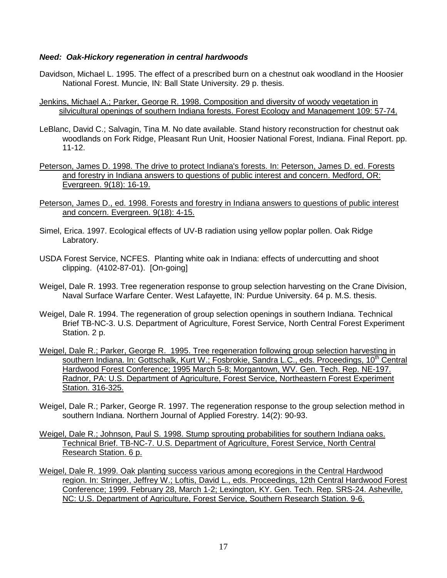#### **Need: Oak-Hickory regeneration in central hardwoods**

- Davidson, Michael L. 1995. The effect of a prescribed burn on a chestnut oak woodland in the Hoosier National Forest. Muncie, IN: Ball State University. 29 p. thesis.
- Jenkins, Michael A.; Parker, George R. 1998. Composition and diversity of woody vegetation in silvicultural openings of southern Indiana forests. Forest Ecology and Management 109: 57-74.
- LeBlanc, David C.; Salvagin, Tina M. No date available. Stand history reconstruction for chestnut oak woodlands on Fork Ridge, Pleasant Run Unit, Hoosier National Forest, Indiana. Final Report. pp. 11-12.
- Peterson, James D. 1998. The drive to protect Indiana's forests. In: Peterson, James D. ed. Forests and forestry in Indiana answers to questions of public interest and concern. Medford, OR: Evergreen. 9(18): 16-19.
- Peterson, James D., ed. 1998. Forests and forestry in Indiana answers to questions of public interest and concern. Evergreen. 9(18): 4-15.
- Simel, Erica. 1997. Ecological effects of UV-B radiation using yellow poplar pollen. Oak Ridge Labratory.
- USDA Forest Service, NCFES. Planting white oak in Indiana: effects of undercutting and shoot clipping. (4102-87-01). [On-going]
- Weigel, Dale R. 1993. Tree regeneration response to group selection harvesting on the Crane Division, Naval Surface Warfare Center. West Lafayette, IN: Purdue University. 64 p. M.S. thesis.
- Weigel, Dale R. 1994. The regeneration of group selection openings in southern Indiana. Technical Brief TB-NC-3. U.S. Department of Agriculture, Forest Service, North Central Forest Experiment Station. 2 p.
- Weigel, Dale R.; Parker, George R. 1995. Tree regeneration following group selection harvesting in southern Indiana. In: Gottschalk, Kurt W.; Fosbrokie, Sandra L.C., eds. Proceedings, 10<sup>th</sup> Central Hardwood Forest Conference; 1995 March 5-8; Morgantown, WV. Gen. Tech. Rep. NE-197. Radnor, PA: U.S. Department of Agriculture, Forest Service, Northeastern Forest Experiment Station. 316-325.
- Weigel, Dale R.; Parker, George R. 1997. The regeneration response to the group selection method in southern Indiana. Northern Journal of Applied Forestry. 14(2): 90-93.
- Weigel, Dale R.; Johnson, Paul S. 1998. Stump sprouting probabilities for southern Indiana oaks. Technical Brief. TB-NC-7. U.S. Department of Agriculture, Forest Service, North Central Research Station. 6 p.
- Weigel, Dale R. 1999. Oak planting success various among ecoregions in the Central Hardwood region. In: Stringer, Jeffrey W.; Loftis, David L., eds. Proceedings, 12th Central Hardwood Forest Conference; 1999. February 28, March 1-2; Lexington, KY. Gen. Tech. Rep. SRS-24. Asheville, NC: U.S. Department of Agriculture, Forest Service, Southern Research Station. 9-6.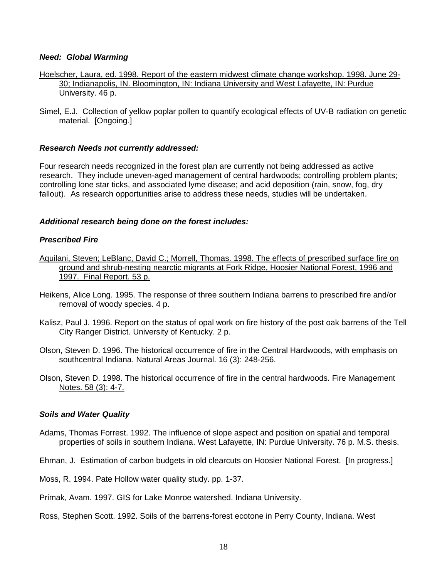#### **Need: Global Warming**

- Hoelscher, Laura, ed. 1998. Report of the eastern midwest climate change workshop. 1998. June 29- 30; Indianapolis, IN. Bloomington, IN: Indiana University and West Lafayette, IN: Purdue University. 46 p.
- Simel, E.J. Collection of yellow poplar pollen to quantify ecological effects of UV-B radiation on genetic material. [Ongoing.]

#### **Research Needs not currently addressed:**

Four research needs recognized in the forest plan are currently not being addressed as active research. They include uneven-aged management of central hardwoods; controlling problem plants; controlling lone star ticks, and associated lyme disease; and acid deposition (rain, snow, fog, dry fallout). As research opportunities arise to address these needs, studies will be undertaken.

#### **Additional research being done on the forest includes:**

#### **Prescribed Fire**

- Aquilani, Steven; LeBlanc, David C.; Morrell, Thomas. 1998. The effects of prescribed surface fire on ground and shrub-nesting nearctic migrants at Fork Ridge, Hoosier National Forest, 1996 and 1997. Final Report. 53 p.
- Heikens, Alice Long. 1995. The response of three southern Indiana barrens to prescribed fire and/or removal of woody species. 4 p.
- Kalisz, Paul J. 1996. Report on the status of opal work on fire history of the post oak barrens of the Tell City Ranger District. University of Kentucky. 2 p.
- Olson, Steven D. 1996. The historical occurrence of fire in the Central Hardwoods, with emphasis on southcentral Indiana. Natural Areas Journal. 16 (3): 248-256.

#### Olson, Steven D. 1998. The historical occurrence of fire in the central hardwoods. Fire Management Notes. 58 (3): 4-7.

#### **Soils and Water Quality**

- Adams, Thomas Forrest. 1992. The influence of slope aspect and position on spatial and temporal properties of soils in southern Indiana. West Lafayette, IN: Purdue University. 76 p. M.S. thesis.
- Ehman, J. Estimation of carbon budgets in old clearcuts on Hoosier National Forest. [In progress.]
- Moss, R. 1994. Pate Hollow water quality study. pp. 1-37.
- Primak, Avam. 1997. GIS for Lake Monroe watershed. Indiana University.
- Ross, Stephen Scott. 1992. Soils of the barrens-forest ecotone in Perry County, Indiana. West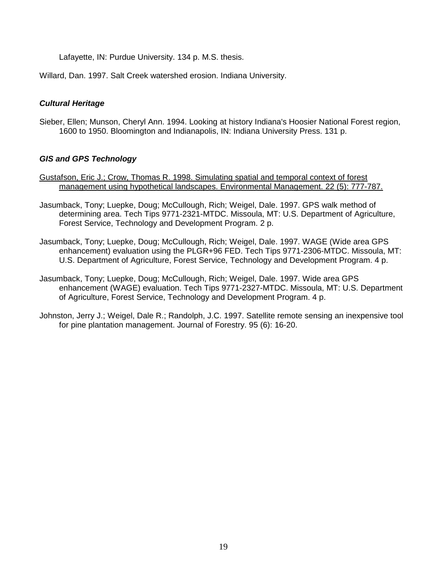Lafayette, IN: Purdue University. 134 p. M.S. thesis.

Willard, Dan. 1997. Salt Creek watershed erosion. Indiana University.

#### **Cultural Heritage**

Sieber, Ellen; Munson, Cheryl Ann. 1994. Looking at history Indiana's Hoosier National Forest region, 1600 to 1950. Bloomington and Indianapolis, IN: Indiana University Press. 131 p.

#### **GIS and GPS Technology**

- Gustafson, Eric J.; Crow, Thomas R. 1998. Simulating spatial and temporal context of forest management using hypothetical landscapes. Environmental Management. 22 (5): 777-787.
- Jasumback, Tony; Luepke, Doug; McCullough, Rich; Weigel, Dale. 1997. GPS walk method of determining area. Tech Tips 9771-2321-MTDC. Missoula, MT: U.S. Department of Agriculture, Forest Service, Technology and Development Program. 2 p.
- Jasumback, Tony; Luepke, Doug; McCullough, Rich; Weigel, Dale. 1997. WAGE (Wide area GPS enhancement) evaluation using the PLGR+96 FED. Tech Tips 9771-2306-MTDC. Missoula, MT: U.S. Department of Agriculture, Forest Service, Technology and Development Program. 4 p.
- Jasumback, Tony; Luepke, Doug; McCullough, Rich; Weigel, Dale. 1997. Wide area GPS enhancement (WAGE) evaluation. Tech Tips 9771-2327-MTDC. Missoula, MT: U.S. Department of Agriculture, Forest Service, Technology and Development Program. 4 p.
- Johnston, Jerry J.; Weigel, Dale R.; Randolph, J.C. 1997. Satellite remote sensing an inexpensive tool for pine plantation management. Journal of Forestry. 95 (6): 16-20.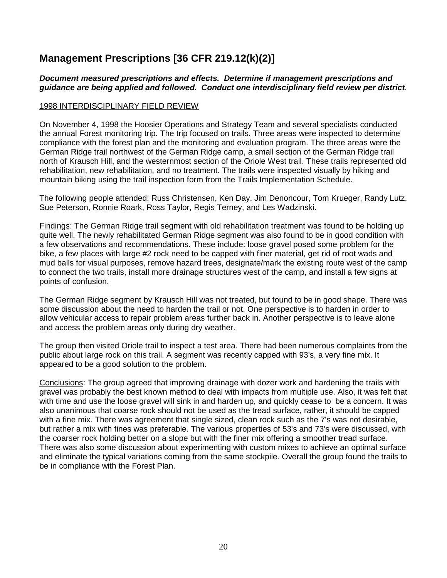### **Management Prescriptions [36 CFR 219.12(k)(2)]**

#### **Document measured prescriptions and effects. Determine if management prescriptions and guidance are being applied and followed. Conduct one interdisciplinary field review per district**.

#### 1998 INTERDISCIPLINARY FIELD REVIEW

On November 4, 1998 the Hoosier Operations and Strategy Team and several specialists conducted the annual Forest monitoring trip. The trip focused on trails. Three areas were inspected to determine compliance with the forest plan and the monitoring and evaluation program. The three areas were the German Ridge trail northwest of the German Ridge camp, a small section of the German Ridge trail north of Krausch Hill, and the westernmost section of the Oriole West trail. These trails represented old rehabilitation, new rehabilitation, and no treatment. The trails were inspected visually by hiking and mountain biking using the trail inspection form from the Trails Implementation Schedule.

The following people attended: Russ Christensen, Ken Day, Jim Denoncour, Tom Krueger, Randy Lutz, Sue Peterson, Ronnie Roark, Ross Taylor, Regis Terney, and Les Wadzinski.

Findings: The German Ridge trail segment with old rehabilitation treatment was found to be holding up quite well. The newly rehabilitated German Ridge segment was also found to be in good condition with a few observations and recommendations. These include: loose gravel posed some problem for the bike, a few places with large #2 rock need to be capped with finer material, get rid of root wads and mud balls for visual purposes, remove hazard trees, designate/mark the existing route west of the camp to connect the two trails, install more drainage structures west of the camp, and install a few signs at points of confusion.

The German Ridge segment by Krausch Hill was not treated, but found to be in good shape. There was some discussion about the need to harden the trail or not. One perspective is to harden in order to allow vehicular access to repair problem areas further back in. Another perspective is to leave alone and access the problem areas only during dry weather.

The group then visited Oriole trail to inspect a test area. There had been numerous complaints from the public about large rock on this trail. A segment was recently capped with 93's, a very fine mix. It appeared to be a good solution to the problem.

Conclusions: The group agreed that improving drainage with dozer work and hardening the trails with gravel was probably the best known method to deal with impacts from multiple use. Also, it was felt that with time and use the loose gravel will sink in and harden up, and quickly cease to be a concern. It was also unanimous that coarse rock should not be used as the tread surface, rather, it should be capped with a fine mix. There was agreement that single sized, clean rock such as the 7's was not desirable, but rather a mix with fines was preferable. The various properties of 53's and 73's were discussed, with the coarser rock holding better on a slope but with the finer mix offering a smoother tread surface. There was also some discussion about experimenting with custom mixes to achieve an optimal surface and eliminate the typical variations coming from the same stockpile. Overall the group found the trails to be in compliance with the Forest Plan.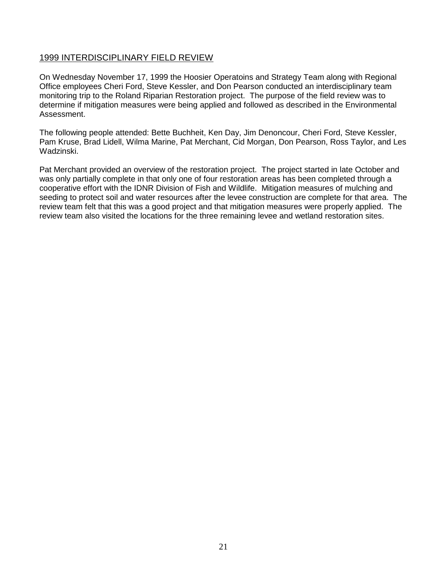#### 1999 INTERDISCIPLINARY FIELD REVIEW

On Wednesday November 17, 1999 the Hoosier Operatoins and Strategy Team along with Regional Office employees Cheri Ford, Steve Kessler, and Don Pearson conducted an interdisciplinary team monitoring trip to the Roland Riparian Restoration project. The purpose of the field review was to determine if mitigation measures were being applied and followed as described in the Environmental Assessment.

The following people attended: Bette Buchheit, Ken Day, Jim Denoncour, Cheri Ford, Steve Kessler, Pam Kruse, Brad Lidell, Wilma Marine, Pat Merchant, Cid Morgan, Don Pearson, Ross Taylor, and Les Wadzinski.

Pat Merchant provided an overview of the restoration project. The project started in late October and was only partially complete in that only one of four restoration areas has been completed through a cooperative effort with the IDNR Division of Fish and Wildlife. Mitigation measures of mulching and seeding to protect soil and water resources after the levee construction are complete for that area. The review team felt that this was a good project and that mitigation measures were properly applied. The review team also visited the locations for the three remaining levee and wetland restoration sites.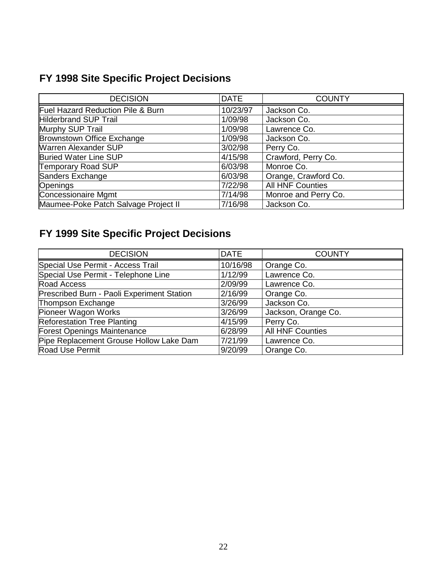### **FY 1998 Site Specific Project Decisions**

| <b>DECISION</b>                      | <b>DATE</b> | <b>COUNTY</b>           |
|--------------------------------------|-------------|-------------------------|
| Fuel Hazard Reduction Pile & Burn    | 10/23/97    | Jackson Co.             |
| <b>Hilderbrand SUP Trail</b>         | 1/09/98     | Jackson Co.             |
| Murphy SUP Trail                     | 1/09/98     | Lawrence Co.            |
| Brownstown Office Exchange           | 1/09/98     | Jackson Co.             |
| <b>Warren Alexander SUP</b>          | 3/02/98     | Perry Co.               |
| <b>Buried Water Line SUP</b>         | 4/15/98     | Crawford, Perry Co.     |
| <b>Temporary Road SUP</b>            | 6/03/98     | Monroe Co.              |
| Sanders Exchange                     | 6/03/98     | Orange, Crawford Co.    |
| Openings                             | 7/22/98     | <b>All HNF Counties</b> |
| <b>Concessionaire Mgmt</b>           | 7/14/98     | Monroe and Perry Co.    |
| Maumee-Poke Patch Salvage Project II | 7/16/98     | Jackson Co.             |

## **FY 1999 Site Specific Project Decisions**

| <b>DECISION</b>                            | <b>DATE</b> | <b>COUNTY</b>           |
|--------------------------------------------|-------------|-------------------------|
| Special Use Permit - Access Trail          | 10/16/98    | Orange Co.              |
| Special Use Permit - Telephone Line        | 1/12/99     | Lawrence Co.            |
| Road Access                                | 2/09/99     | Lawrence Co.            |
| Prescribed Burn - Paoli Experiment Station | 2/16/99     | Orange Co.              |
| Thompson Exchange                          | 3/26/99     | Jackson Co.             |
| Pioneer Wagon Works                        | 3/26/99     | Jackson, Orange Co.     |
| <b>Reforestation Tree Planting</b>         | 4/15/99     | Perry Co.               |
| Forest Openings Maintenance                | 6/28/99     | <b>All HNF Counties</b> |
| Pipe Replacement Grouse Hollow Lake Dam    | 7/21/99     | Lawrence Co.            |
| Road Use Permit                            | 9/20/99     | Orange Co.              |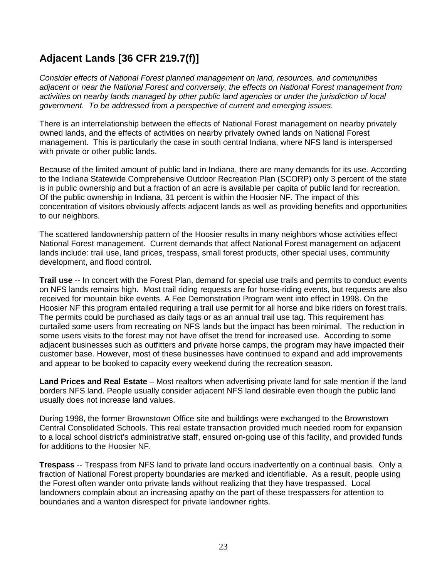### **Adjacent Lands [36 CFR 219.7(f)]**

Consider effects of National Forest planned management on land, resources, and communities adjacent or near the National Forest and conversely, the effects on National Forest management from activities on nearby lands managed by other public land agencies or under the jurisdiction of local government. To be addressed from a perspective of current and emerging issues.

There is an interrelationship between the effects of National Forest management on nearby privately owned lands, and the effects of activities on nearby privately owned lands on National Forest management. This is particularly the case in south central Indiana, where NFS land is interspersed with private or other public lands.

Because of the limited amount of public land in Indiana, there are many demands for its use. According to the Indiana Statewide Comprehensive Outdoor Recreation Plan (SCORP) only 3 percent of the state is in public ownership and but a fraction of an acre is available per capita of public land for recreation. Of the public ownership in Indiana, 31 percent is within the Hoosier NF. The impact of this concentration of visitors obviously affects adjacent lands as well as providing benefits and opportunities to our neighbors.

The scattered landownership pattern of the Hoosier results in many neighbors whose activities effect National Forest management. Current demands that affect National Forest management on adjacent lands include: trail use, land prices, trespass, small forest products, other special uses, community development, and flood control.

**Trail use** -- In concert with the Forest Plan, demand for special use trails and permits to conduct events on NFS lands remains high. Most trail riding requests are for horse-riding events, but requests are also received for mountain bike events. A Fee Demonstration Program went into effect in 1998. On the Hoosier NF this program entailed requiring a trail use permit for all horse and bike riders on forest trails. The permits could be purchased as daily tags or as an annual trail use tag. This requirement has curtailed some users from recreating on NFS lands but the impact has been minimal. The reduction in some users visits to the forest may not have offset the trend for increased use. According to some adjacent businesses such as outfitters and private horse camps, the program may have impacted their customer base. However, most of these businesses have continued to expand and add improvements and appear to be booked to capacity every weekend during the recreation season.

**Land Prices and Real Estate** – Most realtors when advertising private land for sale mention if the land borders NFS land. People usually consider adjacent NFS land desirable even though the public land usually does not increase land values.

During 1998, the former Brownstown Office site and buildings were exchanged to the Brownstown Central Consolidated Schools. This real estate transaction provided much needed room for expansion to a local school district's administrative staff, ensured on-going use of this facility, and provided funds for additions to the Hoosier NF.

**Trespass** -- Trespass from NFS land to private land occurs inadvertently on a continual basis. Only a fraction of National Forest property boundaries are marked and identifiable. As a result, people using the Forest often wander onto private lands without realizing that they have trespassed. Local landowners complain about an increasing apathy on the part of these trespassers for attention to boundaries and a wanton disrespect for private landowner rights.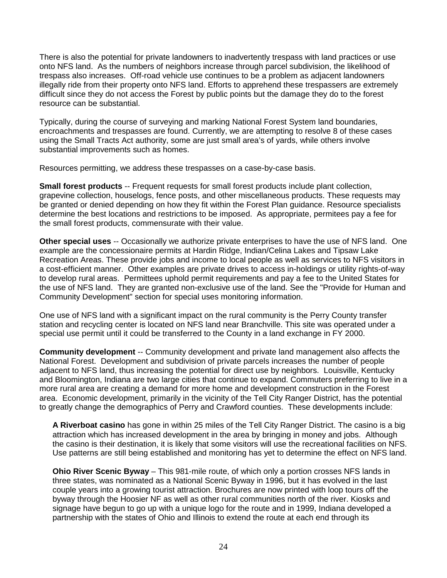There is also the potential for private landowners to inadvertently trespass with land practices or use onto NFS land. As the numbers of neighbors increase through parcel subdivision, the likelihood of trespass also increases. Off-road vehicle use continues to be a problem as adjacent landowners illegally ride from their property onto NFS land. Efforts to apprehend these trespassers are extremely difficult since they do not access the Forest by public points but the damage they do to the forest resource can be substantial.

Typically, during the course of surveying and marking National Forest System land boundaries, encroachments and trespasses are found. Currently, we are attempting to resolve 8 of these cases using the Small Tracts Act authority, some are just small area's of yards, while others involve substantial improvements such as homes.

Resources permitting, we address these trespasses on a case-by-case basis.

**Small forest products** -- Frequent requests for small forest products include plant collection, grapevine collection, houselogs, fence posts, and other miscellaneous products. These requests may be granted or denied depending on how they fit within the Forest Plan guidance. Resource specialists determine the best locations and restrictions to be imposed. As appropriate, permitees pay a fee for the small forest products, commensurate with their value.

**Other special uses** -- Occasionally we authorize private enterprises to have the use of NFS land. One example are the concessionaire permits at Hardin Ridge, Indian/Celina Lakes and Tipsaw Lake Recreation Areas. These provide jobs and income to local people as well as services to NFS visitors in a cost-efficient manner. Other examples are private drives to access in-holdings or utility rights-of-way to develop rural areas. Permittees uphold permit requirements and pay a fee to the United States for the use of NFS land. They are granted non-exclusive use of the land. See the "Provide for Human and Community Development" section for special uses monitoring information.

One use of NFS land with a significant impact on the rural community is the Perry County transfer station and recycling center is located on NFS land near Branchville. This site was operated under a special use permit until it could be transferred to the County in a land exchange in FY 2000.

**Community development** -- Community development and private land management also affects the National Forest. Development and subdivision of private parcels increases the number of people adjacent to NFS land, thus increasing the potential for direct use by neighbors. Louisville, Kentucky and Bloomington, Indiana are two large cities that continue to expand. Commuters preferring to live in a more rural area are creating a demand for more home and development construction in the Forest area. Economic development, primarily in the vicinity of the Tell City Ranger District, has the potential to greatly change the demographics of Perry and Crawford counties. These developments include:

**A Riverboat casino** has gone in within 25 miles of the Tell City Ranger District. The casino is a big attraction which has increased development in the area by bringing in money and jobs. Although the casino is their destination, it is likely that some visitors will use the recreational facilities on NFS. Use patterns are still being established and monitoring has yet to determine the effect on NFS land.

**Ohio River Scenic Byway** – This 981-mile route, of which only a portion crosses NFS lands in three states, was nominated as a National Scenic Byway in 1996, but it has evolved in the last couple years into a growing tourist attraction. Brochures are now printed with loop tours off the byway through the Hoosier NF as well as other rural communities north of the river. Kiosks and signage have begun to go up with a unique logo for the route and in 1999, Indiana developed a partnership with the states of Ohio and Illinois to extend the route at each end through its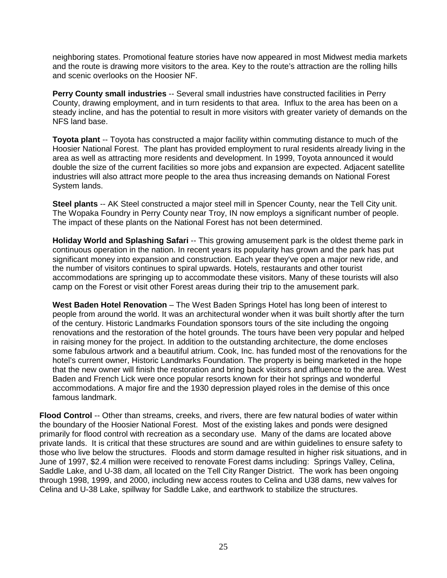neighboring states. Promotional feature stories have now appeared in most Midwest media markets and the route is drawing more visitors to the area. Key to the route's attraction are the rolling hills and scenic overlooks on the Hoosier NF.

**Perry County small industries** -- Several small industries have constructed facilities in Perry County, drawing employment, and in turn residents to that area. Influx to the area has been on a steady incline, and has the potential to result in more visitors with greater variety of demands on the NFS land base.

**Toyota plant** -- Toyota has constructed a major facility within commuting distance to much of the Hoosier National Forest. The plant has provided employment to rural residents already living in the area as well as attracting more residents and development. In 1999, Toyota announced it would double the size of the current facilities so more jobs and expansion are expected. Adjacent satellite industries will also attract more people to the area thus increasing demands on National Forest System lands.

**Steel plants** -- AK Steel constructed a major steel mill in Spencer County, near the Tell City unit. The Wopaka Foundry in Perry County near Troy, IN now employs a significant number of people. The impact of these plants on the National Forest has not been determined.

**Holiday World and Splashing Safari** -- This growing amusement park is the oldest theme park in continuous operation in the nation. In recent years its popularity has grown and the park has put significant money into expansion and construction. Each year they've open a major new ride, and the number of visitors continues to spiral upwards. Hotels, restaurants and other tourist accommodations are springing up to accommodate these visitors. Many of these tourists will also camp on the Forest or visit other Forest areas during their trip to the amusement park.

**West Baden Hotel Renovation** – The West Baden Springs Hotel has long been of interest to people from around the world. It was an architectural wonder when it was built shortly after the turn of the century. Historic Landmarks Foundation sponsors tours of the site including the ongoing renovations and the restoration of the hotel grounds. The tours have been very popular and helped in raising money for the project. In addition to the outstanding architecture, the dome encloses some fabulous artwork and a beautiful atrium. Cook, Inc. has funded most of the renovations for the hotel's current owner, Historic Landmarks Foundation. The property is being marketed in the hope that the new owner will finish the restoration and bring back visitors and affluence to the area. West Baden and French Lick were once popular resorts known for their hot springs and wonderful accommodations. A major fire and the 1930 depression played roles in the demise of this once famous landmark.

**Flood Control** -- Other than streams, creeks, and rivers, there are few natural bodies of water within the boundary of the Hoosier National Forest. Most of the existing lakes and ponds were designed primarily for flood control with recreation as a secondary use. Many of the dams are located above private lands. It is critical that these structures are sound and are within guidelines to ensure safety to those who live below the structures. Floods and storm damage resulted in higher risk situations, and in June of 1997, \$2.4 million were received to renovate Forest dams including: Springs Valley, Celina, Saddle Lake, and U-38 dam, all located on the Tell City Ranger District. The work has been ongoing through 1998, 1999, and 2000, including new access routes to Celina and U38 dams, new valves for Celina and U-38 Lake, spillway for Saddle Lake, and earthwork to stabilize the structures.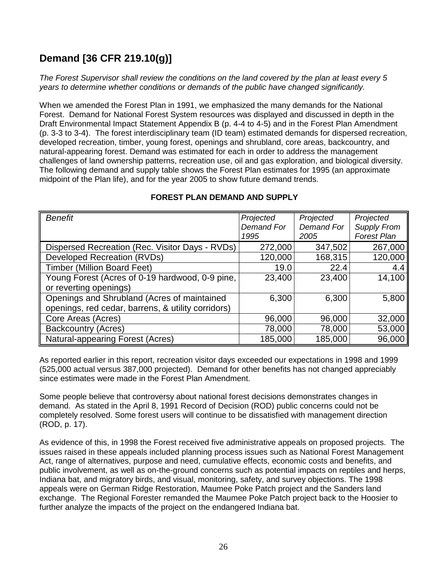### **Demand [36 CFR 219.10(g)]**

The Forest Supervisor shall review the conditions on the land covered by the plan at least every 5 years to determine whether conditions or demands of the public have changed significantly.

When we amended the Forest Plan in 1991, we emphasized the many demands for the National Forest. Demand for National Forest System resources was displayed and discussed in depth in the Draft Environmental Impact Statement Appendix B (p. 4-4 to 4-5) and in the Forest Plan Amendment (p. 3-3 to 3-4). The forest interdisciplinary team (ID team) estimated demands for dispersed recreation, developed recreation, timber, young forest, openings and shrubland, core areas, backcountry, and natural-appearing forest. Demand was estimated for each in order to address the management challenges of land ownership patterns, recreation use, oil and gas exploration, and biological diversity. The following demand and supply table shows the Forest Plan estimates for 1995 (an approximate midpoint of the Plan life), and for the year 2005 to show future demand trends.

| <b>Benefit</b>                                     | Projected  | Projected  | Projected          |
|----------------------------------------------------|------------|------------|--------------------|
|                                                    | Demand For | Demand For | <b>Supply From</b> |
|                                                    | 1995       | 2005       | <b>Forest Plan</b> |
| Dispersed Recreation (Rec. Visitor Days - RVDs)    | 272,000    | 347,502    | 267,000            |
| Developed Recreation (RVDs)                        | 120,000    | 168,315    | 120,000            |
| <b>Timber (Million Board Feet)</b>                 | 19.0       | 22.4       | 4.4                |
| Young Forest (Acres of 0-19 hardwood, 0-9 pine,    | 23,400     | 23,400     | 14,100             |
| or reverting openings)                             |            |            |                    |
| Openings and Shrubland (Acres of maintained        | 6,300      | 6,300      | 5,800              |
| openings, red cedar, barrens, & utility corridors) |            |            |                    |
| Core Areas (Acres)                                 | 96,000     | 96,000     | 32,000             |
| <b>Backcountry (Acres)</b>                         | 78,000     | 78,000     | 53,000             |
| <b>Natural-appearing Forest (Acres)</b>            | 185,000    | 185,000    | 96,000             |

#### **FOREST PLAN DEMAND AND SUPPLY**

As reported earlier in this report, recreation visitor days exceeded our expectations in 1998 and 1999 (525,000 actual versus 387,000 projected). Demand for other benefits has not changed appreciably since estimates were made in the Forest Plan Amendment.

Some people believe that controversy about national forest decisions demonstrates changes in demand. As stated in the April 8, 1991 Record of Decision (ROD) public concerns could not be completely resolved. Some forest users will continue to be dissatisfied with management direction (ROD, p. 17).

As evidence of this, in 1998 the Forest received five administrative appeals on proposed projects. The issues raised in these appeals included planning process issues such as National Forest Management Act, range of alternatives, purpose and need, cumulative effects, economic costs and benefits, and public involvement, as well as on-the-ground concerns such as potential impacts on reptiles and herps, Indiana bat, and migratory birds, and visual, monitoring, safety, and survey objections. The 1998 appeals were on German Ridge Restoration, Maumee Poke Patch project and the Sanders land exchange. The Regional Forester remanded the Maumee Poke Patch project back to the Hoosier to further analyze the impacts of the project on the endangered Indiana bat.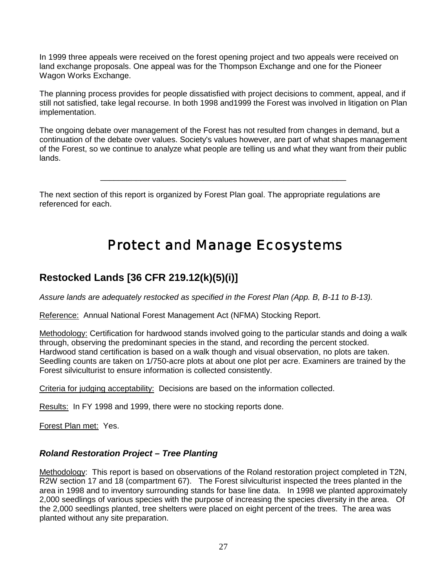In 1999 three appeals were received on the forest opening project and two appeals were received on land exchange proposals. One appeal was for the Thompson Exchange and one for the Pioneer Wagon Works Exchange.

The planning process provides for people dissatisfied with project decisions to comment, appeal, and if still not satisfied, take legal recourse. In both 1998 and1999 the Forest was involved in litigation on Plan implementation.

The ongoing debate over management of the Forest has not resulted from changes in demand, but a continuation of the debate over values. Society's values however, are part of what shapes management of the Forest, so we continue to analyze what people are telling us and what they want from their public lands.

\_\_\_\_\_\_\_\_\_\_\_\_\_\_\_\_\_\_\_\_\_\_\_\_\_\_\_\_\_\_\_\_\_\_\_\_\_\_\_\_\_\_\_\_\_\_\_\_\_\_\_\_\_\_\_

The next section of this report is organized by Forest Plan goal. The appropriate regulations are referenced for each.

# Protect and Manage Ecosystems

### **Restocked Lands [36 CFR 219.12(k)(5)(i)]**

Assure lands are adequately restocked as specified in the Forest Plan (App. B, B-11 to B-13).

Reference: Annual National Forest Management Act (NFMA) Stocking Report.

Methodology: Certification for hardwood stands involved going to the particular stands and doing a walk through, observing the predominant species in the stand, and recording the percent stocked. Hardwood stand certification is based on a walk though and visual observation, no plots are taken. Seedling counts are taken on 1/750-acre plots at about one plot per acre. Examiners are trained by the Forest silviculturist to ensure information is collected consistently.

Criteria for judging acceptability: Decisions are based on the information collected.

Results: In FY 1998 and 1999, there were no stocking reports done.

Forest Plan met: Yes.

#### **Roland Restoration Project – Tree Planting**

Methodology: This report is based on observations of the Roland restoration project completed in T2N, R2W section 17 and 18 (compartment 67). The Forest silviculturist inspected the trees planted in the area in 1998 and to inventory surrounding stands for base line data. In 1998 we planted approximately 2,000 seedlings of various species with the purpose of increasing the species diversity in the area. Of the 2,000 seedlings planted, tree shelters were placed on eight percent of the trees. The area was planted without any site preparation.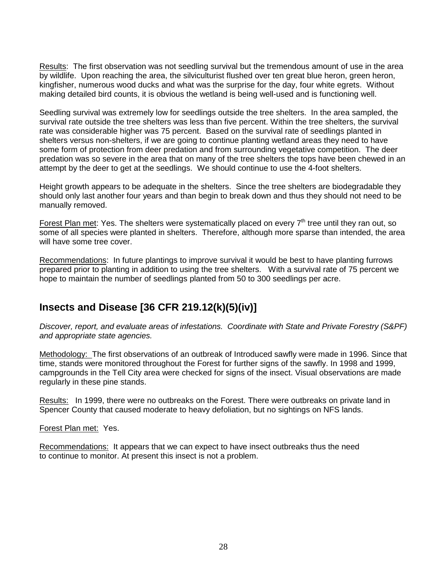Results: The first observation was not seedling survival but the tremendous amount of use in the area by wildlife. Upon reaching the area, the silviculturist flushed over ten great blue heron, green heron, kingfisher, numerous wood ducks and what was the surprise for the day, four white egrets. Without making detailed bird counts, it is obvious the wetland is being well-used and is functioning well.

Seedling survival was extremely low for seedlings outside the tree shelters. In the area sampled, the survival rate outside the tree shelters was less than five percent. Within the tree shelters, the survival rate was considerable higher was 75 percent. Based on the survival rate of seedlings planted in shelters versus non-shelters, if we are going to continue planting wetland areas they need to have some form of protection from deer predation and from surrounding vegetative competition. The deer predation was so severe in the area that on many of the tree shelters the tops have been chewed in an attempt by the deer to get at the seedlings. We should continue to use the 4-foot shelters.

Height growth appears to be adequate in the shelters. Since the tree shelters are biodegradable they should only last another four years and than begin to break down and thus they should not need to be manually removed.

Forest Plan met: Yes. The shelters were systematically placed on every  $7<sup>th</sup>$  tree until they ran out, so some of all species were planted in shelters. Therefore, although more sparse than intended, the area will have some tree cover.

Recommendations: In future plantings to improve survival it would be best to have planting furrows prepared prior to planting in addition to using the tree shelters. With a survival rate of 75 percent we hope to maintain the number of seedlings planted from 50 to 300 seedlings per acre.

### **Insects and Disease [36 CFR 219.12(k)(5)(iv)]**

Discover, report, and evaluate areas of infestations. Coordinate with State and Private Forestry (S&PF) and appropriate state agencies.

Methodology: The first observations of an outbreak of Introduced sawfly were made in 1996. Since that time, stands were monitored throughout the Forest for further signs of the sawfly. In 1998 and 1999, campgrounds in the Tell City area were checked for signs of the insect. Visual observations are made regularly in these pine stands.

Results: In 1999, there were no outbreaks on the Forest. There were outbreaks on private land in Spencer County that caused moderate to heavy defoliation, but no sightings on NFS lands.

#### Forest Plan met: Yes.

Recommendations: It appears that we can expect to have insect outbreaks thus the need to continue to monitor. At present this insect is not a problem.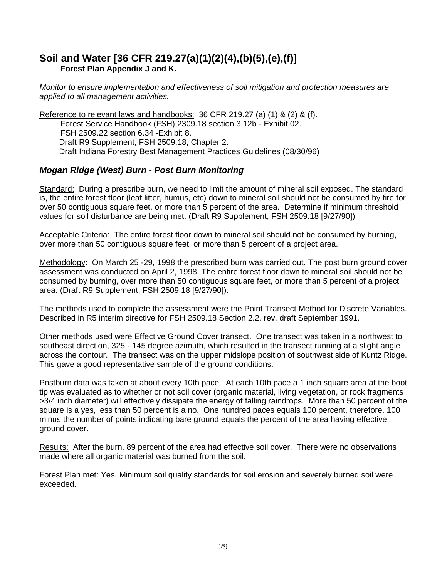#### **Soil and Water [36 CFR 219.27(a)(1)(2)(4),(b)(5),(e),(f)] Forest Plan Appendix J and K.**

Monitor to ensure implementation and effectiveness of soil mitigation and protection measures are applied to all management activities.

Reference to relevant laws and handbooks: 36 CFR 219.27 (a) (1) & (2) & (f). Forest Service Handbook (FSH) 2309.18 section 3.12b - Exhibit 02. FSH 2509.22 section 6.34 -Exhibit 8. Draft R9 Supplement, FSH 2509.18, Chapter 2. Draft Indiana Forestry Best Management Practices Guidelines (08/30/96)

#### **Mogan Ridge (West) Burn - Post Burn Monitoring**

Standard: During a prescribe burn, we need to limit the amount of mineral soil exposed. The standard is, the entire forest floor (leaf litter, humus, etc) down to mineral soil should not be consumed by fire for over 50 contiguous square feet, or more than 5 percent of the area. Determine if minimum threshold values for soil disturbance are being met. (Draft R9 Supplement, FSH 2509.18 [9/27/90])

Acceptable Criteria: The entire forest floor down to mineral soil should not be consumed by burning, over more than 50 contiguous square feet, or more than 5 percent of a project area.

Methodology: On March 25 -29, 1998 the prescribed burn was carried out. The post burn ground cover assessment was conducted on April 2, 1998. The entire forest floor down to mineral soil should not be consumed by burning, over more than 50 contiguous square feet, or more than 5 percent of a project area. (Draft R9 Supplement, FSH 2509.18 [9/27/90]).

The methods used to complete the assessment were the Point Transect Method for Discrete Variables. Described in R5 interim directive for FSH 2509.18 Section 2.2, rev. draft September 1991.

Other methods used were Effective Ground Cover transect. One transect was taken in a northwest to southeast direction, 325 - 145 degree azimuth, which resulted in the transect running at a slight angle across the contour. The transect was on the upper midslope position of southwest side of Kuntz Ridge. This gave a good representative sample of the ground conditions.

Postburn data was taken at about every 10th pace. At each 10th pace a 1 inch square area at the boot tip was evaluated as to whether or not soil cover (organic material, living vegetation, or rock fragments >3/4 inch diameter) will effectively dissipate the energy of falling raindrops. More than 50 percent of the square is a yes, less than 50 percent is a no. One hundred paces equals 100 percent, therefore, 100 minus the number of points indicating bare ground equals the percent of the area having effective ground cover.

Results: After the burn, 89 percent of the area had effective soil cover. There were no observations made where all organic material was burned from the soil.

Forest Plan met: Yes. Minimum soil quality standards for soil erosion and severely burned soil were exceeded.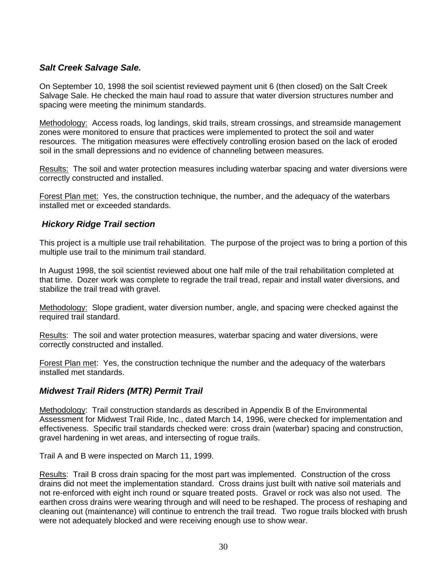#### **Salt Creek Salvage Sale.**

On September 10, 1998 the soil scientist reviewed payment unit 6 (then closed) on the Salt Creek Salvage Sale. He checked the main haul road to assure that water diversion structures number and spacing were meeting the minimum standards.

Methodology: Access roads, log landings, skid trails, stream crossings, and streamside management zones were monitored to ensure that practices were implemented to protect the soil and water resources. The mitigation measures were effectively controlling erosion based on the lack of eroded soil in the small depressions and no evidence of channeling between measures.

Results: The soil and water protection measures including waterbar spacing and water diversions were correctly constructed and installed.

Forest Plan met: Yes, the construction technique, the number, and the adequacy of the waterbars installed met or exceeded standards.

#### **Hickory Ridge Trail section**

This project is a multiple use trail rehabilitation. The purpose of the project was to bring a portion of this multiple use trail to the minimum trail standard.

In August 1998, the soil scientist reviewed about one half mile of the trail rehabilitation completed at that time. Dozer work was complete to regrade the trail tread, repair and install water diversions, and stabilize the trail tread with gravel.

Methodology: Slope gradient, water diversion number, angle, and spacing were checked against the required trail standard.

Results: The soil and water protection measures, waterbar spacing and water diversions, were correctly constructed and installed.

Forest Plan met: Yes, the construction technique the number and the adequacy of the waterbars installed met standards.

#### **Midwest Trail Riders (MTR) Permit Trail**

Methodology: Trail construction standards as described in Appendix B of the Environmental Assessment for Midwest Trail Ride, Inc., dated March 14, 1996, were checked for implementation and effectiveness. Specific trail standards checked were: cross drain (waterbar) spacing and construction, gravel hardening in wet areas, and intersecting of rogue trails.

Trail A and B were inspected on March 11, 1999.

Results: Trail B cross drain spacing for the most part was implemented. Construction of the cross drains did not meet the implementation standard. Cross drains just built with native soil materials and not re-enforced with eight inch round or square treated posts. Gravel or rock was also not used. The earthen cross drains were wearing through and will need to be reshaped. The process of reshaping and cleaning out (maintenance) will continue to entrench the trail tread. Two rogue trails blocked with brush were not adequately blocked and were receiving enough use to show wear.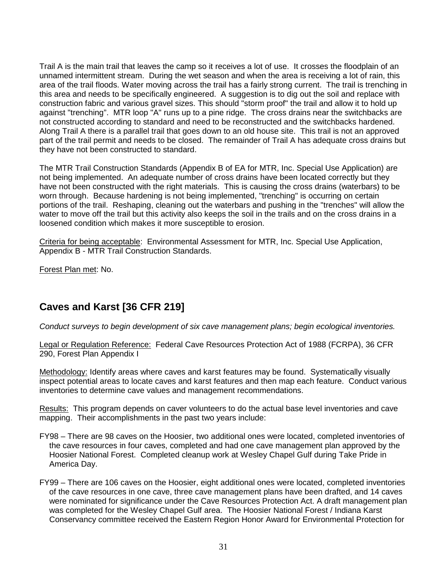Trail A is the main trail that leaves the camp so it receives a lot of use. It crosses the floodplain of an unnamed intermittent stream. During the wet season and when the area is receiving a lot of rain, this area of the trail floods. Water moving across the trail has a fairly strong current. The trail is trenching in this area and needs to be specifically engineered. A suggestion is to dig out the soil and replace with construction fabric and various gravel sizes. This should "storm proof" the trail and allow it to hold up against "trenching". MTR loop "A" runs up to a pine ridge. The cross drains near the switchbacks are not constructed according to standard and need to be reconstructed and the switchbacks hardened. Along Trail A there is a parallel trail that goes down to an old house site. This trail is not an approved part of the trail permit and needs to be closed. The remainder of Trail A has adequate cross drains but they have not been constructed to standard.

The MTR Trail Construction Standards (Appendix B of EA for MTR, Inc. Special Use Application) are not being implemented. An adequate number of cross drains have been located correctly but they have not been constructed with the right materials. This is causing the cross drains (waterbars) to be worn through. Because hardening is not being implemented, "trenching" is occurring on certain portions of the trail. Reshaping, cleaning out the waterbars and pushing in the "trenches" will allow the water to move off the trail but this activity also keeps the soil in the trails and on the cross drains in a loosened condition which makes it more susceptible to erosion.

Criteria for being acceptable: Environmental Assessment for MTR, Inc. Special Use Application, Appendix B - MTR Trail Construction Standards.

Forest Plan met: No.

### **Caves and Karst [36 CFR 219]**

Conduct surveys to begin development of six cave management plans; begin ecological inventories.

Legal or Regulation Reference: Federal Cave Resources Protection Act of 1988 (FCRPA), 36 CFR 290, Forest Plan Appendix I

Methodology: Identify areas where caves and karst features may be found. Systematically visually inspect potential areas to locate caves and karst features and then map each feature. Conduct various inventories to determine cave values and management recommendations.

Results: This program depends on caver volunteers to do the actual base level inventories and cave mapping. Their accomplishments in the past two years include:

- FY98 There are 98 caves on the Hoosier, two additional ones were located, completed inventories of the cave resources in four caves, completed and had one cave management plan approved by the Hoosier National Forest. Completed cleanup work at Wesley Chapel Gulf during Take Pride in America Day.
- FY99 There are 106 caves on the Hoosier, eight additional ones were located, completed inventories of the cave resources in one cave, three cave management plans have been drafted, and 14 caves were nominated for significance under the Cave Resources Protection Act. A draft management plan was completed for the Wesley Chapel Gulf area. The Hoosier National Forest / Indiana Karst Conservancy committee received the Eastern Region Honor Award for Environmental Protection for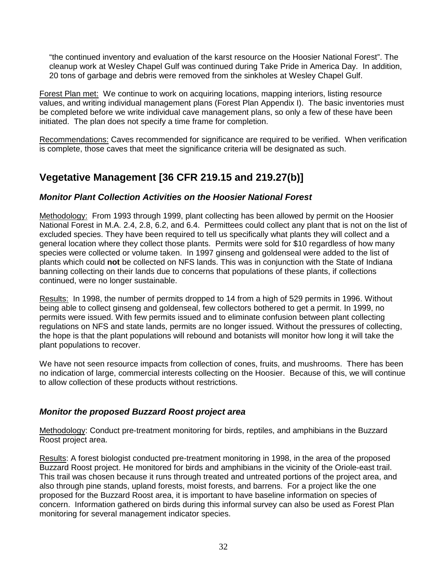"the continued inventory and evaluation of the karst resource on the Hoosier National Forest". The cleanup work at Wesley Chapel Gulf was continued during Take Pride in America Day. In addition, 20 tons of garbage and debris were removed from the sinkholes at Wesley Chapel Gulf.

Forest Plan met: We continue to work on acquiring locations, mapping interiors, listing resource values, and writing individual management plans (Forest Plan Appendix I). The basic inventories must be completed before we write individual cave management plans, so only a few of these have been initiated. The plan does not specify a time frame for completion.

Recommendations: Caves recommended for significance are required to be verified. When verification is complete, those caves that meet the significance criteria will be designated as such.

### **Vegetative Management [36 CFR 219.15 and 219.27(b)]**

#### **Monitor Plant Collection Activities on the Hoosier National Forest**

Methodology: From 1993 through 1999, plant collecting has been allowed by permit on the Hoosier National Forest in M.A. 2.4, 2.8, 6.2, and 6.4. Permittees could collect any plant that is not on the list of excluded species. They have been required to tell us specifically what plants they will collect and a general location where they collect those plants. Permits were sold for \$10 regardless of how many species were collected or volume taken. In 1997 ginseng and goldenseal were added to the list of plants which could **not** be collected on NFS lands. This was in conjunction with the State of Indiana banning collecting on their lands due to concerns that populations of these plants, if collections continued, were no longer sustainable.

Results: In 1998, the number of permits dropped to 14 from a high of 529 permits in 1996. Without being able to collect ginseng and goldenseal, few collectors bothered to get a permit. In 1999, no permits were issued. With few permits issued and to eliminate confusion between plant collecting regulations on NFS and state lands, permits are no longer issued. Without the pressures of collecting, the hope is that the plant populations will rebound and botanists will monitor how long it will take the plant populations to recover.

We have not seen resource impacts from collection of cones, fruits, and mushrooms. There has been no indication of large, commercial interests collecting on the Hoosier. Because of this, we will continue to allow collection of these products without restrictions.

#### **Monitor the proposed Buzzard Roost project area**

Methodology: Conduct pre-treatment monitoring for birds, reptiles, and amphibians in the Buzzard Roost project area.

Results: A forest biologist conducted pre-treatment monitoring in 1998, in the area of the proposed Buzzard Roost project. He monitored for birds and amphibians in the vicinity of the Oriole-east trail. This trail was chosen because it runs through treated and untreated portions of the project area, and also through pine stands, upland forests, moist forests, and barrens. For a project like the one proposed for the Buzzard Roost area, it is important to have baseline information on species of concern. Information gathered on birds during this informal survey can also be used as Forest Plan monitoring for several management indicator species.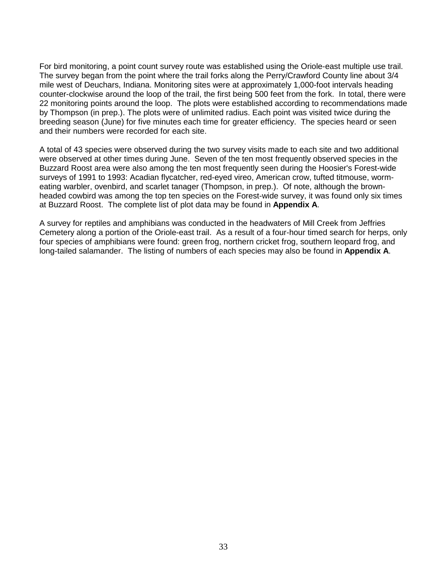For bird monitoring, a point count survey route was established using the Oriole-east multiple use trail. The survey began from the point where the trail forks along the Perry/Crawford County line about 3/4 mile west of Deuchars, Indiana. Monitoring sites were at approximately 1,000-foot intervals heading counter-clockwise around the loop of the trail, the first being 500 feet from the fork. In total, there were 22 monitoring points around the loop. The plots were established according to recommendations made by Thompson (in prep.). The plots were of unlimited radius. Each point was visited twice during the breeding season (June) for five minutes each time for greater efficiency. The species heard or seen and their numbers were recorded for each site.

A total of 43 species were observed during the two survey visits made to each site and two additional were observed at other times during June. Seven of the ten most frequently observed species in the Buzzard Roost area were also among the ten most frequently seen during the Hoosier's Forest-wide surveys of 1991 to 1993: Acadian flycatcher, red-eyed vireo, American crow, tufted titmouse, wormeating warbler, ovenbird, and scarlet tanager (Thompson, in prep.). Of note, although the brownheaded cowbird was among the top ten species on the Forest-wide survey, it was found only six times at Buzzard Roost. The complete list of plot data may be found in **Appendix A**.

A survey for reptiles and amphibians was conducted in the headwaters of Mill Creek from Jeffries Cemetery along a portion of the Oriole-east trail. As a result of a four-hour timed search for herps, only four species of amphibians were found: green frog, northern cricket frog, southern leopard frog, and long-tailed salamander. The listing of numbers of each species may also be found in **Appendix A**.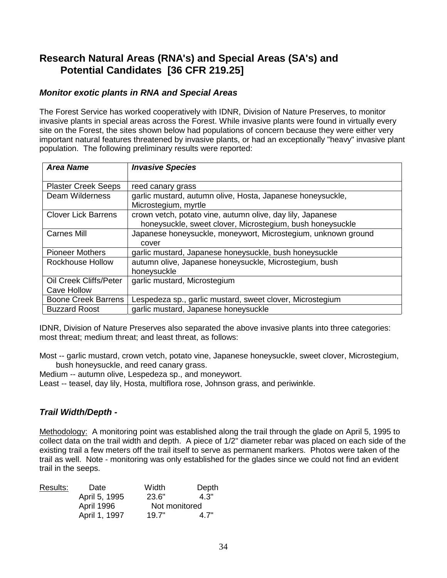### **Research Natural Areas (RNA's) and Special Areas (SA's) and Potential Candidates [36 CFR 219.25]**

#### **Monitor exotic plants in RNA and Special Areas**

The Forest Service has worked cooperatively with IDNR, Division of Nature Preserves, to monitor invasive plants in special areas across the Forest. While invasive plants were found in virtually every site on the Forest, the sites shown below had populations of concern because they were either very important natural features threatened by invasive plants, or had an exceptionally "heavy" invasive plant population. The following preliminary results were reported:

| <b>Area Name</b>           | <b>Invasive Species</b>                                       |
|----------------------------|---------------------------------------------------------------|
|                            |                                                               |
| <b>Plaster Creek Seeps</b> | reed canary grass                                             |
| Deam Wilderness            | garlic mustard, autumn olive, Hosta, Japanese honeysuckle,    |
|                            | Microstegium, myrtle                                          |
| <b>Clover Lick Barrens</b> | crown vetch, potato vine, autumn olive, day lily, Japanese    |
|                            | honeysuckle, sweet clover, Microstegium, bush honeysuckle     |
| <b>Carnes Mill</b>         | Japanese honeysuckle, moneywort, Microstegium, unknown ground |
|                            | cover                                                         |
| <b>Pioneer Mothers</b>     | garlic mustard, Japanese honeysuckle, bush honeysuckle        |
| <b>Rockhouse Hollow</b>    | autumn olive, Japanese honeysuckle, Microstegium, bush        |
|                            | honeysuckle                                                   |
| Oil Creek Cliffs/Peter     | garlic mustard, Microstegium                                  |
| <b>Cave Hollow</b>         |                                                               |
| <b>Boone Creek Barrens</b> | Lespedeza sp., garlic mustard, sweet clover, Microstegium     |
| <b>Buzzard Roost</b>       | garlic mustard, Japanese honeysuckle                          |

IDNR, Division of Nature Preserves also separated the above invasive plants into three categories: most threat; medium threat; and least threat, as follows:

Most -- garlic mustard, crown vetch, potato vine, Japanese honeysuckle, sweet clover, Microstegium, bush honeysuckle, and reed canary grass.

Medium -- autumn olive, Lespedeza sp., and moneywort.

Least -- teasel, day lily, Hosta, multiflora rose, Johnson grass, and periwinkle.

#### **Trail Width/Depth -**

Methodology: A monitoring point was established along the trail through the glade on April 5, 1995 to collect data on the trail width and depth. A piece of 1/2" diameter rebar was placed on each side of the existing trail a few meters off the trail itself to serve as permanent markers. Photos were taken of the trail as well. Note - monitoring was only established for the glades since we could not find an evident trail in the seeps.

| Results: | Date          | Width         | Depth |
|----------|---------------|---------------|-------|
|          | April 5, 1995 | 23.6"         | 4.3"  |
|          | April 1996    | Not monitored |       |
|          | April 1, 1997 | 19.7"         | 4.7"  |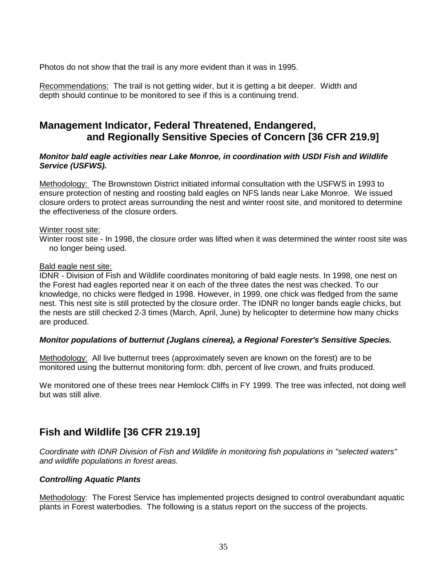Photos do not show that the trail is any more evident than it was in 1995.

Recommendations: The trail is not getting wider, but it is getting a bit deeper. Width and depth should continue to be monitored to see if this is a continuing trend.

### **Management Indicator, Federal Threatened, Endangered, and Regionally Sensitive Species of Concern [36 CFR 219.9]**

#### **Monitor bald eagle activities near Lake Monroe, in coordination with USDI Fish and Wildlife Service (USFWS).**

Methodology: The Brownstown District initiated informal consultation with the USFWS in 1993 to ensure protection of nesting and roosting bald eagles on NFS lands near Lake Monroe. We issued closure orders to protect areas surrounding the nest and winter roost site, and monitored to determine the effectiveness of the closure orders.

#### Winter roost site:

Winter roost site - In 1998, the closure order was lifted when it was determined the winter roost site was no longer being used.

#### Bald eagle nest site:

IDNR - Division of Fish and Wildlife coordinates monitoring of bald eagle nests. In 1998, one nest on the Forest had eagles reported near it on each of the three dates the nest was checked. To our knowledge, no chicks were fledged in 1998. However, in 1999, one chick was fledged from the same nest. This nest site is still protected by the closure order. The IDNR no longer bands eagle chicks, but the nests are still checked 2-3 times (March, April, June) by helicopter to determine how many chicks are produced.

#### **Monitor populations of butternut (Juglans cinerea), a Regional Forester's Sensitive Species.**

Methodology: All live butternut trees (approximately seven are known on the forest) are to be monitored using the butternut monitoring form: dbh, percent of live crown, and fruits produced.

We monitored one of these trees near Hemlock Cliffs in FY 1999. The tree was infected, not doing well but was still alive.

### **Fish and Wildlife [36 CFR 219.19]**

Coordinate with IDNR Division of Fish and Wildlife in monitoring fish populations in "selected waters" and wildlife populations in forest areas.

#### **Controlling Aquatic Plants**

Methodology: The Forest Service has implemented projects designed to control overabundant aquatic plants in Forest waterbodies. The following is a status report on the success of the projects.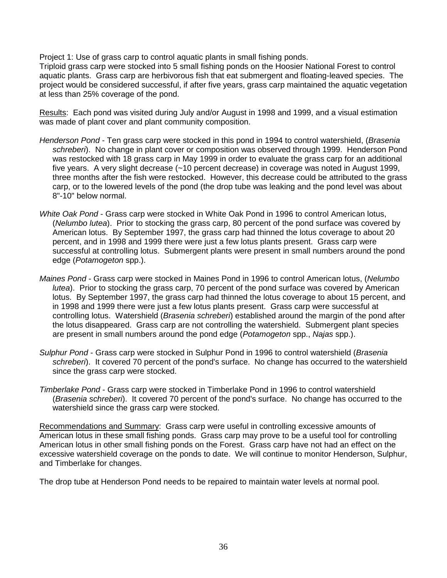Project 1: Use of grass carp to control aquatic plants in small fishing ponds.

Triploid grass carp were stocked into 5 small fishing ponds on the Hoosier National Forest to control aquatic plants. Grass carp are herbivorous fish that eat submergent and floating-leaved species. The project would be considered successful, if after five years, grass carp maintained the aquatic vegetation at less than 25% coverage of the pond.

Results: Each pond was visited during July and/or August in 1998 and 1999, and a visual estimation was made of plant cover and plant community composition.

- Henderson Pond Ten grass carp were stocked in this pond in 1994 to control watershield, (Brasenia schreberi). No change in plant cover or composition was observed through 1999. Henderson Pond was restocked with 18 grass carp in May 1999 in order to evaluate the grass carp for an additional five years. A very slight decrease (~10 percent decrease) in coverage was noted in August 1999, three months after the fish were restocked. However, this decrease could be attributed to the grass carp, or to the lowered levels of the pond (the drop tube was leaking and the pond level was about 8"-10" below normal.
- White Oak Pond Grass carp were stocked in White Oak Pond in 1996 to control American lotus, (Nelumbo lutea). Prior to stocking the grass carp, 80 percent of the pond surface was covered by American lotus. By September 1997, the grass carp had thinned the lotus coverage to about 20 percent, and in 1998 and 1999 there were just a few lotus plants present. Grass carp were successful at controlling lotus. Submergent plants were present in small numbers around the pond edge (Potamogeton spp.).
- Maines Pond Grass carp were stocked in Maines Pond in 1996 to control American lotus, (Nelumbo lutea). Prior to stocking the grass carp, 70 percent of the pond surface was covered by American lotus. By September 1997, the grass carp had thinned the lotus coverage to about 15 percent, and in 1998 and 1999 there were just a few lotus plants present. Grass carp were successful at controlling lotus. Watershield (Brasenia schreberi) established around the margin of the pond after the lotus disappeared. Grass carp are not controlling the watershield. Submergent plant species are present in small numbers around the pond edge (Potamogeton spp., Najas spp.).
- Sulphur Pond Grass carp were stocked in Sulphur Pond in 1996 to control watershield (Brasenia schreberi). It covered 70 percent of the pond's surface. No change has occurred to the watershield since the grass carp were stocked.
- Timberlake Pond Grass carp were stocked in Timberlake Pond in 1996 to control watershield (Brasenia schreberi). It covered 70 percent of the pond's surface. No change has occurred to the watershield since the grass carp were stocked.

Recommendations and Summary: Grass carp were useful in controlling excessive amounts of American lotus in these small fishing ponds. Grass carp may prove to be a useful tool for controlling American lotus in other small fishing ponds on the Forest. Grass carp have not had an effect on the excessive watershield coverage on the ponds to date. We will continue to monitor Henderson, Sulphur, and Timberlake for changes.

The drop tube at Henderson Pond needs to be repaired to maintain water levels at normal pool.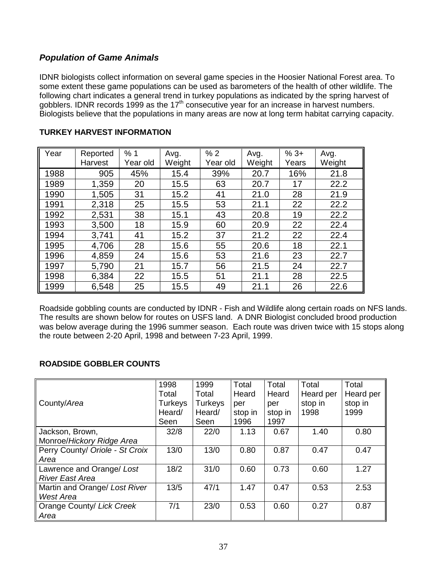#### **Population of Game Animals**

IDNR biologists collect information on several game species in the Hoosier National Forest area. To some extent these game populations can be used as barometers of the health of other wildlife. The following chart indicates a general trend in turkey populations as indicated by the spring harvest of gobblers. IDNR records 1999 as the 17<sup>th</sup> consecutive year for an increase in harvest numbers. Biologists believe that the populations in many areas are now at long term habitat carrying capacity.

| Year | Reported<br>Harvest | %1<br>Year old | Avg.<br>Weight | %2<br>Year old | Avg.<br>Weight | $%3+$<br>Years | Avg.<br>Weight |
|------|---------------------|----------------|----------------|----------------|----------------|----------------|----------------|
| 1988 | 905                 | 45%            | 15.4           | 39%            | 20.7           | 16%            | 21.8           |
| 1989 | 1,359               | 20             | 15.5           | 63             | 20.7           | 17             | 22.2           |
| 1990 | 1,505               | 31             | 15.2           | 41             | 21.0           | 28             | 21.9           |
| 1991 | 2,318               | 25             | 15.5           | 53             | 21.1           | 22             | 22.2           |
| 1992 | 2,531               | 38             | 15.1           | 43             | 20.8           | 19             | 22.2           |
| 1993 | 3,500               | 18             | 15.9           | 60             | 20.9           | 22             | 22.4           |
| 1994 | 3,741               | 41             | 15.2           | 37             | 21.2           | 22             | 22.4           |
| 1995 | 4,706               | 28             | 15.6           | 55             | 20.6           | 18             | 22.1           |
| 1996 | 4,859               | 24             | 15.6           | 53             | 21.6           | 23             | 22.7           |
| 1997 | 5,790               | 21             | 15.7           | 56             | 21.5           | 24             | 22.7           |
| 1998 | 6,384               | 22             | 15.5           | 51             | 21.1           | 28             | 22.5           |
| 1999 | 6,548               | 25             | 15.5           | 49             | 21.1           | 26             | 22.6           |

#### **TURKEY HARVEST INFORMATION**

Roadside gobbling counts are conducted by IDNR - Fish and Wildlife along certain roads on NFS lands. The results are shown below for routes on USFS land. A DNR Biologist concluded brood production was below average during the 1996 summer season. Each route was driven twice with 15 stops along the route between 2-20 April, 1998 and between 7-23 April, 1999.

#### **ROADSIDE GOBBLER COUNTS**

|                                 | 1998           | 1999    | Total   | Total   | Total     | Total     |
|---------------------------------|----------------|---------|---------|---------|-----------|-----------|
|                                 | Total          | Total   | Heard   | Heard   | Heard per | Heard per |
| County/Area                     | <b>Turkeys</b> | Turkeys | per     | per     | stop in   | stop in   |
|                                 | Heard/         | Heard/  | stop in | stop in | 1998      | 1999      |
|                                 | Seen           | Seen    | 1996    | 1997    |           |           |
| Jackson, Brown,                 | 32/8           | 22/0    | 1.13    | 0.67    | 1.40      | 0.80      |
| Monroe/Hickory Ridge Area       |                |         |         |         |           |           |
| Perry County/ Oriole - St Croix | 13/0           | 13/0    | 0.80    | 0.87    | 0.47      | 0.47      |
| Area                            |                |         |         |         |           |           |
| Lawrence and Orange/ Lost       | 18/2           | 31/0    | 0.60    | 0.73    | 0.60      | 1.27      |
| <b>River East Area</b>          |                |         |         |         |           |           |
| Martin and Orange/ Lost River   | 13/5           | 47/1    | 1.47    | 0.47    | 0.53      | 2.53      |
| West Area                       |                |         |         |         |           |           |
| Orange County/ Lick Creek       | 7/1            | 23/0    | 0.53    | 0.60    | 0.27      | 0.87      |
| Area                            |                |         |         |         |           |           |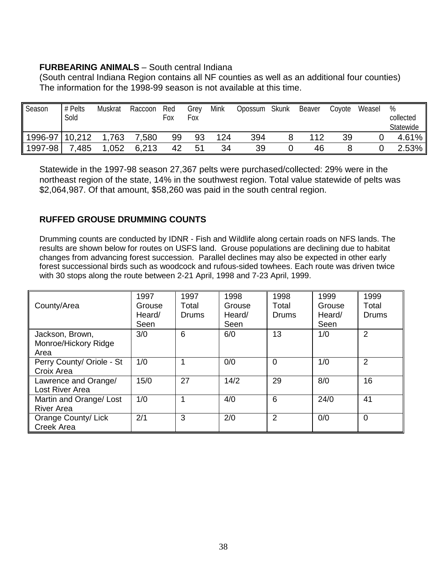#### **FURBEARING ANIMALS** – South central Indiana

(South central Indiana Region contains all NF counties as well as an additional four counties) The information for the 1998-99 season is not available at this time.

| Season         | # Pelts<br>Sold | Muskrat | Raccoon | Red<br>Fox | Grey<br>Fox | Mink | Opossum Skunk | Beaver | Coyote | Weasel | %<br>collected<br>Statewide |
|----------------|-----------------|---------|---------|------------|-------------|------|---------------|--------|--------|--------|-----------------------------|
| 1996-97 10,212 |                 | 1,763   | 7,580   | 99         | 93          | 124  | 394           | 112    | 39     |        | $4.61\%$                    |
| 1997-98        | 7,485           | 1,052   | 6,213   | 42         | 51          | 34   | 39            | 46     |        |        | $2.53\%$                    |

Statewide in the 1997-98 season 27,367 pelts were purchased/collected: 29% were in the northeast region of the state, 14% in the southwest region. Total value statewide of pelts was \$2,064,987. Of that amount, \$58,260 was paid in the south central region.

#### **RUFFED GROUSE DRUMMING COUNTS**

Drumming counts are conducted by IDNR - Fish and Wildlife along certain roads on NFS lands. The results are shown below for routes on USFS land. Grouse populations are declining due to habitat changes from advancing forest succession. Parallel declines may also be expected in other early forest successional birds such as woodcock and rufous-sided towhees. Each route was driven twice with 30 stops along the route between 2-21 April, 1998 and 7-23 April, 1999.

|                           | 1997   | 1997  | 1998   | 1998         | 1999   | 1999         |
|---------------------------|--------|-------|--------|--------------|--------|--------------|
| County/Area               | Grouse | Total | Grouse | Total        | Grouse | Total        |
|                           | Heard/ | Drums | Heard/ | <b>Drums</b> | Heard/ | <b>Drums</b> |
|                           | Seen   |       | Seen   |              | Seen   |              |
| Jackson, Brown,           | 3/0    | 6     | 6/0    | 13           | 1/0    | 2            |
| Monroe/Hickory Ridge      |        |       |        |              |        |              |
| Area                      |        |       |        |              |        |              |
| Perry County/ Oriole - St | 1/0    | 4     | 0/0    | $\Omega$     | 1/0    | 2            |
| Croix Area                |        |       |        |              |        |              |
| Lawrence and Orange/      | 15/0   | 27    | 14/2   | 29           | 8/0    | 16           |
| Lost River Area           |        |       |        |              |        |              |
| Martin and Orange/ Lost   | 1/0    | и     | 4/0    | 6            | 24/0   | 41           |
| <b>River Area</b>         |        |       |        |              |        |              |
| Orange County/ Lick       | 2/1    | 3     | 2/0    | 2            | 0/0    | $\Omega$     |
| Creek Area                |        |       |        |              |        |              |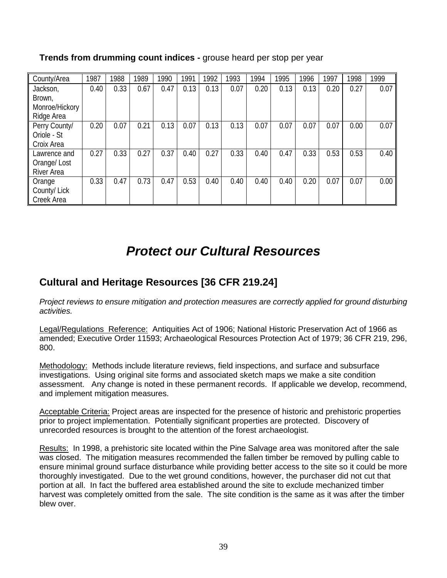| County/Area       | 1987 | 1988 | 1989 | 1990 | 1991 | 1992 | 1993 | 1994 | 1995 | 1996 | 1997 | 1998 | 1999 |
|-------------------|------|------|------|------|------|------|------|------|------|------|------|------|------|
| Jackson,          | 0.40 | 0.33 | 0.67 | 0.47 | 0.13 | 0.13 | 0.07 | 0.20 | 0.13 | 0.13 | 0.20 | 0.27 | 0.07 |
| Brown,            |      |      |      |      |      |      |      |      |      |      |      |      |      |
| Monroe/Hickory    |      |      |      |      |      |      |      |      |      |      |      |      |      |
| Ridge Area        |      |      |      |      |      |      |      |      |      |      |      |      |      |
| Perry County/     | 0.20 | 0.07 | 0.21 | 0.13 | 0.07 | 0.13 | 0.13 | 0.07 | 0.07 | 0.07 | 0.07 | 0.00 | 0.07 |
| Oriole - St       |      |      |      |      |      |      |      |      |      |      |      |      |      |
| Croix Area        |      |      |      |      |      |      |      |      |      |      |      |      |      |
| Lawrence and      | 0.27 | 0.33 | 0.27 | 0.37 | 0.40 | 0.27 | 0.33 | 0.40 | 0.47 | 0.33 | 0.53 | 0.53 | 0.40 |
| Orange/Lost       |      |      |      |      |      |      |      |      |      |      |      |      |      |
| <b>River Area</b> |      |      |      |      |      |      |      |      |      |      |      |      |      |
| Orange            | 0.33 | 0.47 | 0.73 | 0.47 | 0.53 | 0.40 | 0.40 | 0.40 | 0.40 | 0.20 | 0.07 | 0.07 | 0.00 |
| County/ Lick      |      |      |      |      |      |      |      |      |      |      |      |      |      |
| Creek Area        |      |      |      |      |      |      |      |      |      |      |      |      |      |

#### **Trends from drumming count indices -** grouse heard per stop per year

# **Protect our Cultural Resources**

### **Cultural and Heritage Resources [36 CFR 219.24]**

Project reviews to ensure mitigation and protection measures are correctly applied for ground disturbing activities.

Legal/Regulations Reference: Antiquities Act of 1906; National Historic Preservation Act of 1966 as amended; Executive Order 11593; Archaeological Resources Protection Act of 1979; 36 CFR 219, 296, 800.

Methodology: Methods include literature reviews, field inspections, and surface and subsurface investigations. Using original site forms and associated sketch maps we make a site condition assessment. Any change is noted in these permanent records. If applicable we develop, recommend, and implement mitigation measures.

Acceptable Criteria: Project areas are inspected for the presence of historic and prehistoric properties prior to project implementation. Potentially significant properties are protected. Discovery of unrecorded resources is brought to the attention of the forest archaeologist.

Results: In 1998, a prehistoric site located within the Pine Salvage area was monitored after the sale was closed. The mitigation measures recommended the fallen timber be removed by pulling cable to ensure minimal ground surface disturbance while providing better access to the site so it could be more thoroughly investigated. Due to the wet ground conditions, however, the purchaser did not cut that portion at all. In fact the buffered area established around the site to exclude mechanized timber harvest was completely omitted from the sale. The site condition is the same as it was after the timber blew over.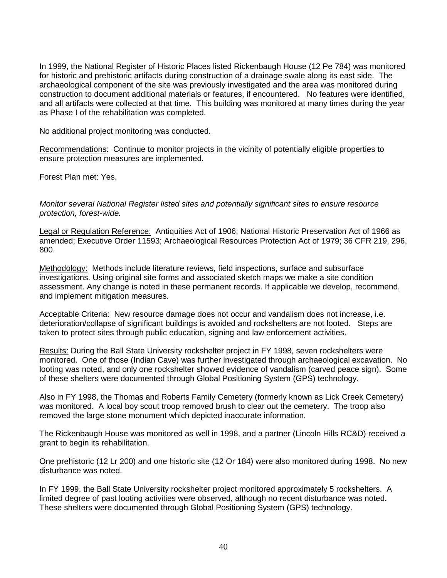In 1999, the National Register of Historic Places listed Rickenbaugh House (12 Pe 784) was monitored for historic and prehistoric artifacts during construction of a drainage swale along its east side. The archaeological component of the site was previously investigated and the area was monitored during construction to document additional materials or features, if encountered. No features were identified, and all artifacts were collected at that time. This building was monitored at many times during the year as Phase I of the rehabilitation was completed.

No additional project monitoring was conducted.

Recommendations: Continue to monitor projects in the vicinity of potentially eligible properties to ensure protection measures are implemented.

Forest Plan met: Yes.

Monitor several National Register listed sites and potentially significant sites to ensure resource protection, forest-wide.

Legal or Regulation Reference: Antiquities Act of 1906; National Historic Preservation Act of 1966 as amended; Executive Order 11593; Archaeological Resources Protection Act of 1979; 36 CFR 219, 296, 800.

Methodology: Methods include literature reviews, field inspections, surface and subsurface investigations. Using original site forms and associated sketch maps we make a site condition assessment. Any change is noted in these permanent records. If applicable we develop, recommend, and implement mitigation measures.

Acceptable Criteria: New resource damage does not occur and vandalism does not increase, i.e. deterioration/collapse of significant buildings is avoided and rockshelters are not looted. Steps are taken to protect sites through public education, signing and law enforcement activities.

Results: During the Ball State University rockshelter project in FY 1998, seven rockshelters were monitored. One of those (Indian Cave) was further investigated through archaeological excavation. No looting was noted, and only one rockshelter showed evidence of vandalism (carved peace sign). Some of these shelters were documented through Global Positioning System (GPS) technology.

Also in FY 1998, the Thomas and Roberts Family Cemetery (formerly known as Lick Creek Cemetery) was monitored. A local boy scout troop removed brush to clear out the cemetery. The troop also removed the large stone monument which depicted inaccurate information.

The Rickenbaugh House was monitored as well in 1998, and a partner (Lincoln Hills RC&D) received a grant to begin its rehabilitation.

One prehistoric (12 Lr 200) and one historic site (12 Or 184) were also monitored during 1998. No new disturbance was noted.

In FY 1999, the Ball State University rockshelter project monitored approximately 5 rockshelters. A limited degree of past looting activities were observed, although no recent disturbance was noted. These shelters were documented through Global Positioning System (GPS) technology.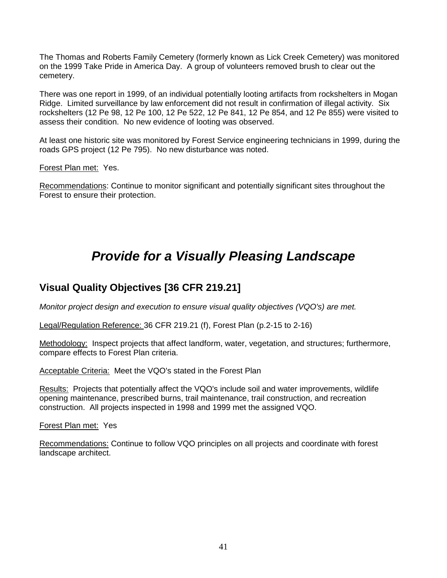The Thomas and Roberts Family Cemetery (formerly known as Lick Creek Cemetery) was monitored on the 1999 Take Pride in America Day. A group of volunteers removed brush to clear out the cemetery.

There was one report in 1999, of an individual potentially looting artifacts from rockshelters in Mogan Ridge. Limited surveillance by law enforcement did not result in confirmation of illegal activity. Six rockshelters (12 Pe 98, 12 Pe 100, 12 Pe 522, 12 Pe 841, 12 Pe 854, and 12 Pe 855) were visited to assess their condition. No new evidence of looting was observed.

At least one historic site was monitored by Forest Service engineering technicians in 1999, during the roads GPS project (12 Pe 795). No new disturbance was noted.

Forest Plan met: Yes.

Recommendations: Continue to monitor significant and potentially significant sites throughout the Forest to ensure their protection.

# **Provide for a Visually Pleasing Landscape**

### **Visual Quality Objectives [36 CFR 219.21]**

Monitor project design and execution to ensure visual quality objectives (VQO's) are met.

Legal/Regulation Reference: 36 CFR 219.21 (f), Forest Plan (p.2-15 to 2-16)

Methodology: Inspect projects that affect landform, water, vegetation, and structures; furthermore, compare effects to Forest Plan criteria.

Acceptable Criteria: Meet the VQO's stated in the Forest Plan

Results: Projects that potentially affect the VQO's include soil and water improvements, wildlife opening maintenance, prescribed burns, trail maintenance, trail construction, and recreation construction. All projects inspected in 1998 and 1999 met the assigned VQO.

Forest Plan met: Yes

Recommendations: Continue to follow VQO principles on all projects and coordinate with forest landscape architect.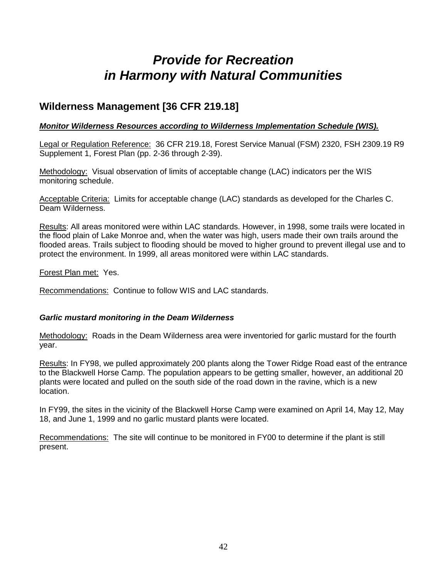# **Provide for Recreation in Harmony with Natural Communities**

### **Wilderness Management [36 CFR 219.18]**

#### **Monitor Wilderness Resources according to Wilderness Implementation Schedule (WIS).**

Legal or Regulation Reference: 36 CFR 219.18, Forest Service Manual (FSM) 2320, FSH 2309.19 R9 Supplement 1, Forest Plan (pp. 2-36 through 2-39).

Methodology: Visual observation of limits of acceptable change (LAC) indicators per the WIS monitoring schedule.

Acceptable Criteria: Limits for acceptable change (LAC) standards as developed for the Charles C. Deam Wilderness.

Results: All areas monitored were within LAC standards. However, in 1998, some trails were located in the flood plain of Lake Monroe and, when the water was high, users made their own trails around the flooded areas. Trails subject to flooding should be moved to higher ground to prevent illegal use and to protect the environment. In 1999, all areas monitored were within LAC standards.

Forest Plan met: Yes.

Recommendations: Continue to follow WIS and LAC standards.

#### **Garlic mustard monitoring in the Deam Wilderness**

Methodology: Roads in the Deam Wilderness area were inventoried for garlic mustard for the fourth year.

Results: In FY98, we pulled approximately 200 plants along the Tower Ridge Road east of the entrance to the Blackwell Horse Camp. The population appears to be getting smaller, however, an additional 20 plants were located and pulled on the south side of the road down in the ravine, which is a new location.

In FY99, the sites in the vicinity of the Blackwell Horse Camp were examined on April 14, May 12, May 18, and June 1, 1999 and no garlic mustard plants were located.

Recommendations: The site will continue to be monitored in FY00 to determine if the plant is still present.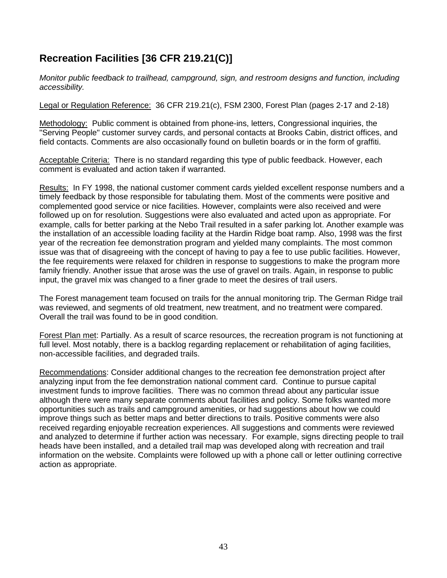### **Recreation Facilities [36 CFR 219.21(C)]**

Monitor public feedback to trailhead, campground, sign, and restroom designs and function, including accessibility.

Legal or Regulation Reference: 36 CFR 219.21(c), FSM 2300, Forest Plan (pages 2-17 and 2-18)

Methodology: Public comment is obtained from phone-ins, letters, Congressional inquiries, the "Serving People" customer survey cards, and personal contacts at Brooks Cabin, district offices, and field contacts. Comments are also occasionally found on bulletin boards or in the form of graffiti.

Acceptable Criteria: There is no standard regarding this type of public feedback. However, each comment is evaluated and action taken if warranted.

Results: In FY 1998, the national customer comment cards yielded excellent response numbers and a timely feedback by those responsible for tabulating them. Most of the comments were positive and complemented good service or nice facilities. However, complaints were also received and were followed up on for resolution. Suggestions were also evaluated and acted upon as appropriate. For example, calls for better parking at the Nebo Trail resulted in a safer parking lot. Another example was the installation of an accessible loading facility at the Hardin Ridge boat ramp. Also, 1998 was the first year of the recreation fee demonstration program and yielded many complaints. The most common issue was that of disagreeing with the concept of having to pay a fee to use public facilities. However, the fee requirements were relaxed for children in response to suggestions to make the program more family friendly. Another issue that arose was the use of gravel on trails. Again, in response to public input, the gravel mix was changed to a finer grade to meet the desires of trail users.

The Forest management team focused on trails for the annual monitoring trip. The German Ridge trail was reviewed, and segments of old treatment, new treatment, and no treatment were compared. Overall the trail was found to be in good condition.

Forest Plan met: Partially. As a result of scarce resources, the recreation program is not functioning at full level. Most notably, there is a backlog regarding replacement or rehabilitation of aging facilities, non-accessible facilities, and degraded trails.

Recommendations: Consider additional changes to the recreation fee demonstration project after analyzing input from the fee demonstration national comment card. Continue to pursue capital investment funds to improve facilities. There was no common thread about any particular issue although there were many separate comments about facilities and policy. Some folks wanted more opportunities such as trails and campground amenities, or had suggestions about how we could improve things such as better maps and better directions to trails. Positive comments were also received regarding enjoyable recreation experiences. All suggestions and comments were reviewed and analyzed to determine if further action was necessary. For example, signs directing people to trail heads have been installed, and a detailed trail map was developed along with recreation and trail information on the website. Complaints were followed up with a phone call or letter outlining corrective action as appropriate.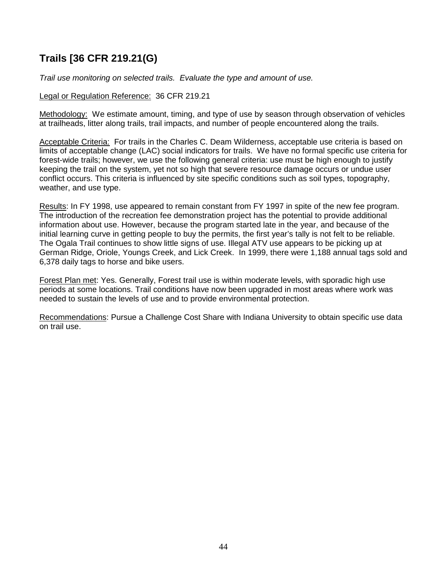### **Trails [36 CFR 219.21(G)**

Trail use monitoring on selected trails. Evaluate the type and amount of use.

#### Legal or Regulation Reference: 36 CFR 219.21

Methodology: We estimate amount, timing, and type of use by season through observation of vehicles at trailheads, litter along trails, trail impacts, and number of people encountered along the trails.

Acceptable Criteria: For trails in the Charles C. Deam Wilderness, acceptable use criteria is based on limits of acceptable change (LAC) social indicators for trails. We have no formal specific use criteria for forest-wide trails; however, we use the following general criteria: use must be high enough to justify keeping the trail on the system, yet not so high that severe resource damage occurs or undue user conflict occurs. This criteria is influenced by site specific conditions such as soil types, topography, weather, and use type.

Results: In FY 1998, use appeared to remain constant from FY 1997 in spite of the new fee program. The introduction of the recreation fee demonstration project has the potential to provide additional information about use. However, because the program started late in the year, and because of the initial learning curve in getting people to buy the permits, the first year's tally is not felt to be reliable. The Ogala Trail continues to show little signs of use. Illegal ATV use appears to be picking up at German Ridge, Oriole, Youngs Creek, and Lick Creek. In 1999, there were 1,188 annual tags sold and 6,378 daily tags to horse and bike users.

Forest Plan met: Yes. Generally, Forest trail use is within moderate levels, with sporadic high use periods at some locations. Trail conditions have now been upgraded in most areas where work was needed to sustain the levels of use and to provide environmental protection.

Recommendations: Pursue a Challenge Cost Share with Indiana University to obtain specific use data on trail use.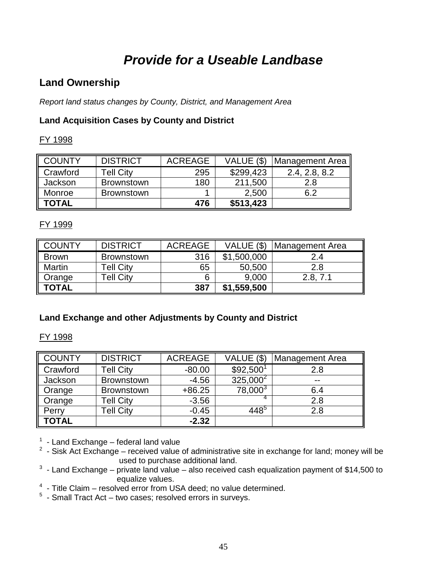# **Provide for a Useable Landbase**

### **Land Ownership**

Report land status changes by County, District, and Management Area

### **Land Acquisition Cases by County and District**

#### FY 1998

| <b>COUNTY</b> | <b>DISTRICT</b>   | <b>ACREAGE</b> | VALUE (\$) | Management Area |
|---------------|-------------------|----------------|------------|-----------------|
| Crawford      | <b>Tell City</b>  | 295            | \$299,423  | 2.4, 2.8, 8.2   |
| Jackson       | <b>Brownstown</b> | 180            | 211,500    | 2.8             |
| Monroe        | <b>Brownstown</b> |                | 2,500      | 6.2             |
| <b>TOTAL</b>  |                   | 476            | \$513,423  |                 |

#### FY 1999

| <b>COUNTY</b> | <b>DISTRICT</b>   | <b>ACREAGE</b> | VALUE (\$)  | Management Area |
|---------------|-------------------|----------------|-------------|-----------------|
| <b>Brown</b>  | <b>Brownstown</b> | 316            | \$1,500,000 | 2.4             |
| <b>Martin</b> | <b>Tell City</b>  | 65             | 50,500      | 2.8             |
| Orange        | <b>Tell City</b>  |                | 9,000       | 2.8, 7.1        |
| TOTAL         |                   | 387            | \$1,559,500 |                 |

### **Land Exchange and other Adjustments by County and District**

#### FY 1998

| <b>COUNTY</b> | <b>DISTRICT</b>   | <b>ACREAGE</b> | VALUE (\$)            | <b>Management Area</b> |
|---------------|-------------------|----------------|-----------------------|------------------------|
| Crawford      | <b>Tell City</b>  | $-80.00$       | \$92,500 <sup>1</sup> | 2.8                    |
| Jackson       | <b>Brownstown</b> | $-4.56$        | $325,000^2$           | $- -$                  |
| Orange        | <b>Brownstown</b> | $+86.25$       | $78,000^3$            | 6.4                    |
| Orange        | <b>Tell City</b>  | $-3.56$        | 4                     | 2.8                    |
| Perry         | <b>Tell City</b>  | $-0.45$        | $448^5$               | 2.8                    |
| <b>TOTAL</b>  |                   | $-2.32$        |                       |                        |

<sup>1</sup> - Land Exchange – federal land value<br><sup>2</sup> - Sisk Act Exchange – received value of administrative site in exchange for land; money will be used to purchase additional land.

 $3$  - Land Exchange – private land value – also received cash equalization payment of \$14,500 to equalize values.

<sup>4</sup> - Title Claim – resolved error from USA deed; no value determined.

 $5$  - Small Tract Act – two cases; resolved errors in surveys.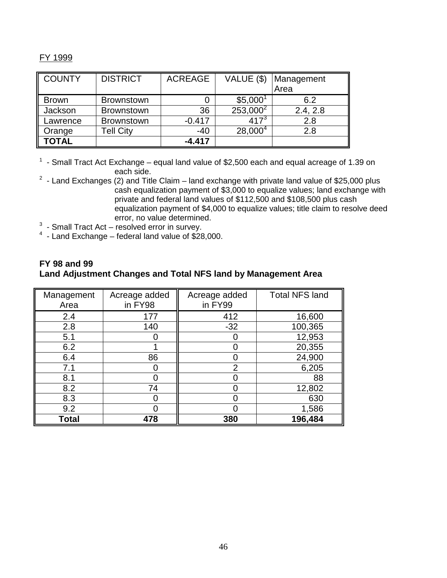#### FY 1999

| <b>COUNTY</b> | <b>DISTRICT</b>   | <b>ACREAGE</b> | VALUE (\$)           | Management<br>Area |
|---------------|-------------------|----------------|----------------------|--------------------|
| <b>Brown</b>  | <b>Brownstown</b> | 0              | \$5,000 <sup>1</sup> | 6.2                |
| Jackson       | <b>Brownstown</b> | 36             | $253,000^2$          | 2.4, 2.8           |
| Lawrence      | <b>Brownstown</b> | $-0.417$       | $417^{3}$            | 2.8                |
| Orange        | <b>Tell City</b>  | $-40$          | $28,000^4$           | 2.8                |
| TOTAL         |                   | $-4.417$       |                      |                    |

 $1$  - Small Tract Act Exchange – equal land value of \$2,500 each and equal acreage of 1.39 on each side.

- $2$  Land Exchanges (2) and Title Claim land exchange with private land value of \$25,000 plus cash equalization payment of \$3,000 to equalize values; land exchange with private and federal land values of \$112,500 and \$108,500 plus cash equalization payment of \$4,000 to equalize values; title claim to resolve deed error, no value determined.
- $3$  Small Tract Act resolved error in survey.
- $4$  Land Exchange federal land value of \$28,000.

#### **FY 98 and 99 Land Adjustment Changes and Total NFS land by Management Area**

| Management<br>Area | Acreage added<br>in FY98 | Acreage added<br>in FY99 | <b>Total NFS land</b> |
|--------------------|--------------------------|--------------------------|-----------------------|
| 2.4                | 177                      | 412                      | 16,600                |
| 2.8                | 140                      | $-32$                    | 100,365               |
| 5.1                |                          |                          | 12,953                |
| 6.2                |                          |                          | 20,355                |
| 6.4                | 86                       |                          | 24,900                |
| 7.1                |                          | $\overline{2}$           | 6,205                 |
| 8.1                |                          |                          | 88                    |
| 8.2                | 74                       |                          | 12,802                |
| 8.3                |                          |                          | 630                   |
| 9.2                |                          |                          | 1,586                 |
| <b>Total</b>       | 478                      | 380                      | 196,484               |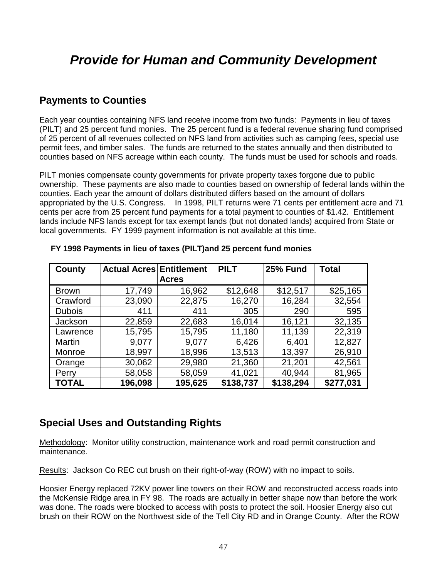# **Provide for Human and Community Development**

### **Payments to Counties**

Each year counties containing NFS land receive income from two funds: Payments in lieu of taxes (PILT) and 25 percent fund monies. The 25 percent fund is a federal revenue sharing fund comprised of 25 percent of all revenues collected on NFS land from activities such as camping fees, special use permit fees, and timber sales. The funds are returned to the states annually and then distributed to counties based on NFS acreage within each county. The funds must be used for schools and roads.

PILT monies compensate county governments for private property taxes forgone due to public ownership. These payments are also made to counties based on ownership of federal lands within the counties. Each year the amount of dollars distributed differs based on the amount of dollars appropriated by the U.S. Congress. In 1998, PILT returns were 71 cents per entitlement acre and 71 cents per acre from 25 percent fund payments for a total payment to counties of \$1.42. Entitlement lands include NFS lands except for tax exempt lands (but not donated lands) acquired from State or local governments. FY 1999 payment information is not available at this time.

| County        | <b>Actual Acres Entitlement</b> |              | <b>PILT</b> | <b>25% Fund</b> | <b>Total</b> |
|---------------|---------------------------------|--------------|-------------|-----------------|--------------|
|               |                                 | <b>Acres</b> |             |                 |              |
| <b>Brown</b>  | 17,749                          | 16,962       | \$12,648    | \$12,517        | \$25,165     |
| Crawford      | 23,090                          | 22,875       | 16,270      | 16,284          | 32,554       |
| <b>Dubois</b> | 411                             | 411          | 305         | 290             | 595          |
| Jackson       | 22,859                          | 22,683       | 16,014      | 16,121          | 32,135       |
| Lawrence      | 15,795                          | 15,795       | 11,180      | 11,139          | 22,319       |
| <b>Martin</b> | 9,077                           | 9,077        | 6,426       | 6,401           | 12,827       |
| Monroe        | 18,997                          | 18,996       | 13,513      | 13,397          | 26,910       |
| Orange        | 30,062                          | 29,980       | 21,360      | 21,201          | 42,561       |
| Perry         | 58,058                          | 58,059       | 41,021      | 40,944          | 81,965       |
| TOTAL         | 196,098                         | 195,625      | \$138,737   | \$138,294       | \$277,031    |

#### **FY 1998 Payments in lieu of taxes (PILT)and 25 percent fund monies**

### **Special Uses and Outstanding Rights**

Methodology: Monitor utility construction, maintenance work and road permit construction and maintenance.

Results: Jackson Co REC cut brush on their right-of-way (ROW) with no impact to soils.

Hoosier Energy replaced 72KV power line towers on their ROW and reconstructed access roads into the McKensie Ridge area in FY 98. The roads are actually in better shape now than before the work was done. The roads were blocked to access with posts to protect the soil. Hoosier Energy also cut brush on their ROW on the Northwest side of the Tell City RD and in Orange County. After the ROW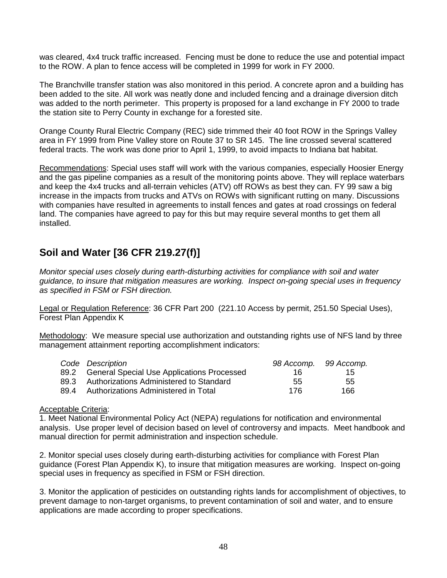was cleared, 4x4 truck traffic increased. Fencing must be done to reduce the use and potential impact to the ROW. A plan to fence access will be completed in 1999 for work in FY 2000.

The Branchville transfer station was also monitored in this period. A concrete apron and a building has been added to the site. All work was neatly done and included fencing and a drainage diversion ditch was added to the north perimeter. This property is proposed for a land exchange in FY 2000 to trade the station site to Perry County in exchange for a forested site.

Orange County Rural Electric Company (REC) side trimmed their 40 foot ROW in the Springs Valley area in FY 1999 from Pine Valley store on Route 37 to SR 145. The line crossed several scattered federal tracts. The work was done prior to April 1, 1999, to avoid impacts to Indiana bat habitat.

Recommendations: Special uses staff will work with the various companies, especially Hoosier Energy and the gas pipeline companies as a result of the monitoring points above. They will replace waterbars and keep the 4x4 trucks and all-terrain vehicles (ATV) off ROWs as best they can. FY 99 saw a big increase in the impacts from trucks and ATVs on ROWs with significant rutting on many. Discussions with companies have resulted in agreements to install fences and gates at road crossings on federal land. The companies have agreed to pay for this but may require several months to get them all installed.

### **Soil and Water [36 CFR 219.27(f)]**

Monitor special uses closely during earth-disturbing activities for compliance with soil and water guidance, to insure that mitigation measures are working. Inspect on-going special uses in frequency as specified in FSM or FSH direction.

Legal or Regulation Reference: 36 CFR Part 200 (221.10 Access by permit, 251.50 Special Uses), Forest Plan Appendix K

Methodology: We measure special use authorization and outstanding rights use of NFS land by three management attainment reporting accomplishment indicators:

|      | Code Description                                | 98 Accomp. 99 Accomp. |     |
|------|-------------------------------------------------|-----------------------|-----|
|      | 89.2 General Special Use Applications Processed | 16.                   | 15. |
|      | 89.3 Authorizations Administered to Standard    | -55                   | 55  |
| 89 4 | Authorizations Administered in Total            | 176.                  | 166 |

#### Acceptable Criteria:

1. Meet National Environmental Policy Act (NEPA) regulations for notification and environmental analysis. Use proper level of decision based on level of controversy and impacts. Meet handbook and manual direction for permit administration and inspection schedule.

2. Monitor special uses closely during earth-disturbing activities for compliance with Forest Plan guidance (Forest Plan Appendix K), to insure that mitigation measures are working. Inspect on-going special uses in frequency as specified in FSM or FSH direction.

3. Monitor the application of pesticides on outstanding rights lands for accomplishment of objectives, to prevent damage to non-target organisms, to prevent contamination of soil and water, and to ensure applications are made according to proper specifications.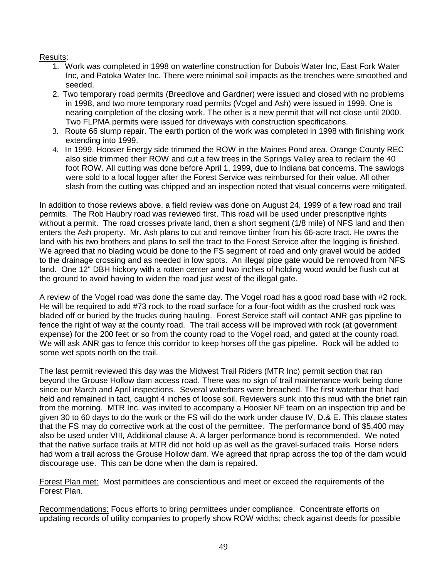#### Results:

- 1. Work was completed in 1998 on waterline construction for Dubois Water Inc, East Fork Water Inc, and Patoka Water Inc. There were minimal soil impacts as the trenches were smoothed and seeded.
- 2. Two temporary road permits (Breedlove and Gardner) were issued and closed with no problems in 1998, and two more temporary road permits (Vogel and Ash) were issued in 1999. One is nearing completion of the closing work. The other is a new permit that will not close until 2000. Two FLPMA permits were issued for driveways with construction specifications.
- 3. Route 66 slump repair. The earth portion of the work was completed in 1998 with finishing work extending into 1999.
- 4. In 1999, Hoosier Energy side trimmed the ROW in the Maines Pond area. Orange County REC also side trimmed their ROW and cut a few trees in the Springs Valley area to reclaim the 40 foot ROW. All cutting was done before April 1, 1999, due to Indiana bat concerns. The sawlogs were sold to a local logger after the Forest Service was reimbursed for their value. All other slash from the cutting was chipped and an inspection noted that visual concerns were mitigated.

In addition to those reviews above, a field review was done on August 24, 1999 of a few road and trail permits. The Rob Haubry road was reviewed first. This road will be used under prescriptive rights without a permit. The road crosses private land, then a short segment (1/8 mile) of NFS land and then enters the Ash property. Mr. Ash plans to cut and remove timber from his 66-acre tract. He owns the land with his two brothers and plans to sell the tract to the Forest Service after the logging is finished. We agreed that no blading would be done to the FS segment of road and only gravel would be added to the drainage crossing and as needed in low spots. An illegal pipe gate would be removed from NFS land. One 12" DBH hickory with a rotten center and two inches of holding wood would be flush cut at the ground to avoid having to widen the road just west of the illegal gate.

A review of the Vogel road was done the same day. The Vogel road has a good road base with #2 rock. He will be required to add #73 rock to the road surface for a four-foot width as the crushed rock was bladed off or buried by the trucks during hauling. Forest Service staff will contact ANR gas pipeline to fence the right of way at the county road. The trail access will be improved with rock (at government expense) for the 200 feet or so from the county road to the Vogel road, and gated at the county road. We will ask ANR gas to fence this corridor to keep horses off the gas pipeline. Rock will be added to some wet spots north on the trail.

The last permit reviewed this day was the Midwest Trail Riders (MTR Inc) permit section that ran beyond the Grouse Hollow dam access road. There was no sign of trail maintenance work being done since our March and April inspections. Several waterbars were breached. The first waterbar that had held and remained in tact, caught 4 inches of loose soil. Reviewers sunk into this mud with the brief rain from the morning. MTR Inc. was invited to accompany a Hoosier NF team on an inspection trip and be given 30 to 60 days to do the work or the FS will do the work under clause IV, D.& E. This clause states that the FS may do corrective work at the cost of the permittee. The performance bond of \$5,400 may also be used under VIII, Additional clause A. A larger performance bond is recommended. We noted that the native surface trails at MTR did not hold up as well as the gravel-surfaced trails. Horse riders had worn a trail across the Grouse Hollow dam. We agreed that riprap across the top of the dam would discourage use. This can be done when the dam is repaired.

Forest Plan met: Most permittees are conscientious and meet or exceed the requirements of the Forest Plan.

Recommendations: Focus efforts to bring permittees under compliance. Concentrate efforts on updating records of utility companies to properly show ROW widths; check against deeds for possible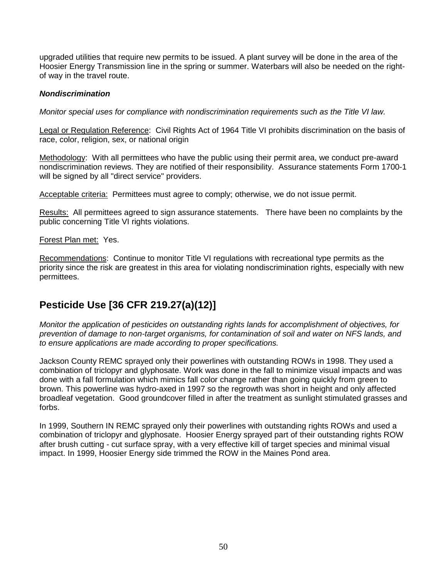upgraded utilities that require new permits to be issued. A plant survey will be done in the area of the Hoosier Energy Transmission line in the spring or summer. Waterbars will also be needed on the rightof way in the travel route.

#### **Nondiscrimination**

Monitor special uses for compliance with nondiscrimination requirements such as the Title VI law.

Legal or Regulation Reference: Civil Rights Act of 1964 Title VI prohibits discrimination on the basis of race, color, religion, sex, or national origin

Methodology: With all permittees who have the public using their permit area, we conduct pre-award nondiscrimination reviews. They are notified of their responsibility. Assurance statements Form 1700-1 will be signed by all "direct service" providers.

Acceptable criteria: Permittees must agree to comply; otherwise, we do not issue permit.

Results: All permittees agreed to sign assurance statements. There have been no complaints by the public concerning Title VI rights violations.

#### Forest Plan met: Yes.

Recommendations: Continue to monitor Title VI regulations with recreational type permits as the priority since the risk are greatest in this area for violating nondiscrimination rights, especially with new permittees.

### **Pesticide Use [36 CFR 219.27(a)(12)]**

Monitor the application of pesticides on outstanding rights lands for accomplishment of objectives, for prevention of damage to non-target organisms, for contamination of soil and water on NFS lands, and to ensure applications are made according to proper specifications.

Jackson County REMC sprayed only their powerlines with outstanding ROWs in 1998. They used a combination of triclopyr and glyphosate. Work was done in the fall to minimize visual impacts and was done with a fall formulation which mimics fall color change rather than going quickly from green to brown. This powerline was hydro-axed in 1997 so the regrowth was short in height and only affected broadleaf vegetation. Good groundcover filled in after the treatment as sunlight stimulated grasses and forbs.

In 1999, Southern IN REMC sprayed only their powerlines with outstanding rights ROWs and used a combination of triclopyr and glyphosate. Hoosier Energy sprayed part of their outstanding rights ROW after brush cutting - cut surface spray, with a very effective kill of target species and minimal visual impact. In 1999, Hoosier Energy side trimmed the ROW in the Maines Pond area.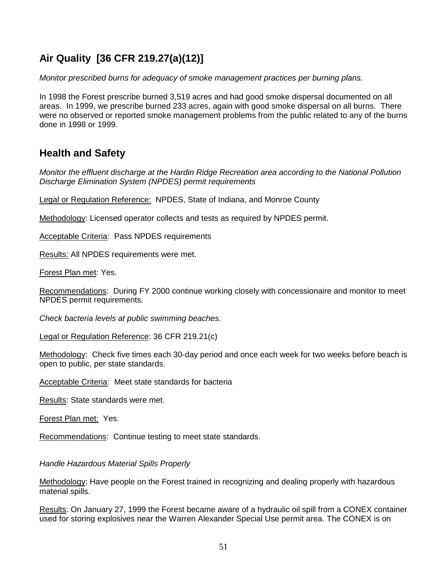### **Air Quality [36 CFR 219.27(a)(12)]**

Monitor prescribed burns for adequacy of smoke management practices per burning plans.

In 1998 the Forest prescribe burned 3,519 acres and had good smoke dispersal documented on all areas. In 1999, we prescribe burned 233 acres, again with good smoke dispersal on all burns. There were no observed or reported smoke management problems from the public related to any of the burns done in 1998 or 1999.

### **Health and Safety**

Monitor the effluent discharge at the Hardin Ridge Recreation area according to the National Pollution Discharge Elimination System (NPDES) permit requirements

Legal or Regulation Reference: NPDES, State of Indiana, and Monroe County

Methodology: Licensed operator collects and tests as required by NPDES permit.

Acceptable Criteria: Pass NPDES requirements

Results: All NPDES requirements were met.

Forest Plan met: Yes.

Recommendations: During FY 2000 continue working closely with concessionaire and monitor to meet NPDES permit requirements.

Check bacteria levels at public swimming beaches.

Legal or Regulation Reference: 36 CFR 219.21(c)

Methodology: Check five times each 30-day period and once each week for two weeks before beach is open to public, per state standards.

Acceptable Criteria: Meet state standards for bacteria

Results: State standards were met.

Forest Plan met: Yes.

Recommendations: Continue testing to meet state standards.

Handle Hazardous Material Spills Properly

Methodology: Have people on the Forest trained in recognizing and dealing properly with hazardous material spills.

Results: On January 27, 1999 the Forest became aware of a hydraulic oil spill from a CONEX container used for storing explosives near the Warren Alexander Special Use permit area. The CONEX is on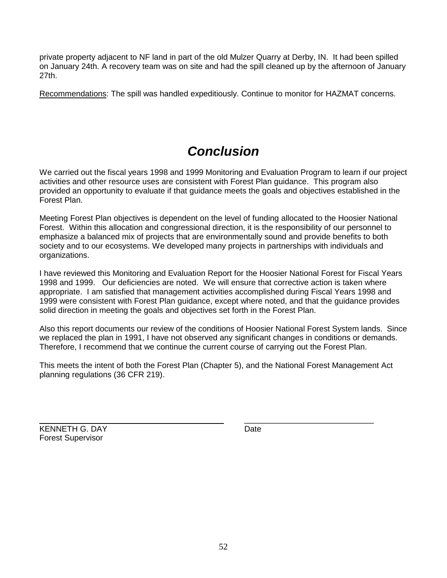private property adjacent to NF land in part of the old Mulzer Quarry at Derby, IN. It had been spilled on January 24th. A recovery team was on site and had the spill cleaned up by the afternoon of January 27th.

Recommendations: The spill was handled expeditiously. Continue to monitor for HAZMAT concerns.

# **Conclusion**

We carried out the fiscal years 1998 and 1999 Monitoring and Evaluation Program to learn if our project activities and other resource uses are consistent with Forest Plan guidance. This program also provided an opportunity to evaluate if that guidance meets the goals and objectives established in the Forest Plan.

Meeting Forest Plan objectives is dependent on the level of funding allocated to the Hoosier National Forest. Within this allocation and congressional direction, it is the responsibility of our personnel to emphasize a balanced mix of projects that are environmentally sound and provide benefits to both society and to our ecosystems. We developed many projects in partnerships with individuals and organizations.

I have reviewed this Monitoring and Evaluation Report for the Hoosier National Forest for Fiscal Years 1998 and 1999. Our deficiencies are noted. We will ensure that corrective action is taken where appropriate. I am satisfied that management activities accomplished during Fiscal Years 1998 and 1999 were consistent with Forest Plan guidance, except where noted, and that the guidance provides solid direction in meeting the goals and objectives set forth in the Forest Plan.

Also this report documents our review of the conditions of Hoosier National Forest System lands. Since we replaced the plan in 1991, I have not observed any significant changes in conditions or demands. Therefore, I recommend that we continue the current course of carrying out the Forest Plan.

This meets the intent of both the Forest Plan (Chapter 5), and the National Forest Management Act planning regulations (36 CFR 219).

\_\_\_\_\_\_\_\_\_\_\_\_\_\_\_\_\_\_\_\_\_\_\_\_\_\_\_\_\_

KENNETH G. DAY Date Forest Supervisor